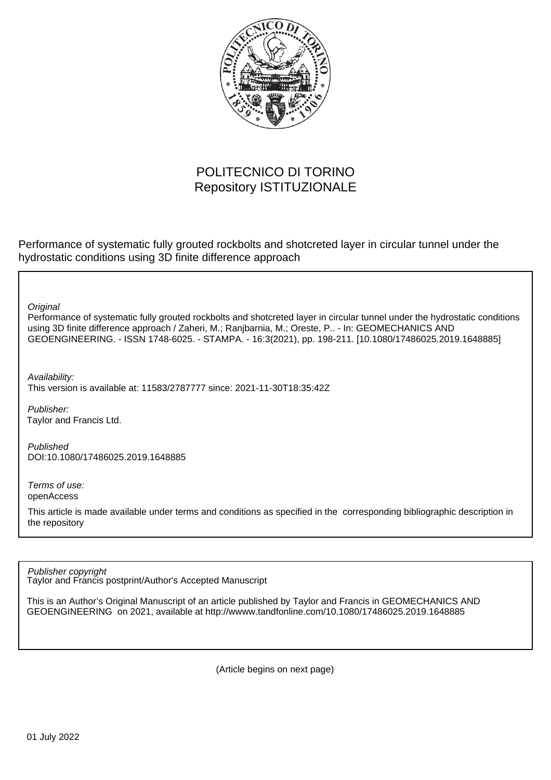

# POLITECNICO DI TORINO Repository ISTITUZIONALE

Performance of systematic fully grouted rockbolts and shotcreted layer in circular tunnel under the hydrostatic conditions using 3D finite difference approach

**Original** 

Performance of systematic fully grouted rockbolts and shotcreted layer in circular tunnel under the hydrostatic conditions using 3D finite difference approach / Zaheri, M.; Ranjbarnia, M.; Oreste, P.. - In: GEOMECHANICS AND GEOENGINEERING. - ISSN 1748-6025. - STAMPA. - 16:3(2021), pp. 198-211. [10.1080/17486025.2019.1648885]

Availability:

This version is available at: 11583/2787777 since: 2021-11-30T18:35:42Z

Publisher: Taylor and Francis Ltd.

Published DOI:10.1080/17486025.2019.1648885

Terms of use: openAccess

This article is made available under terms and conditions as specified in the corresponding bibliographic description in the repository

Publisher copyright

Taylor and Francis postprint/Author's Accepted Manuscript

This is an Author's Original Manuscript of an article published by Taylor and Francis in GEOMECHANICS AND GEOENGINEERING on 2021, available at http://wwww.tandfonline.com/10.1080/17486025.2019.1648885

(Article begins on next page)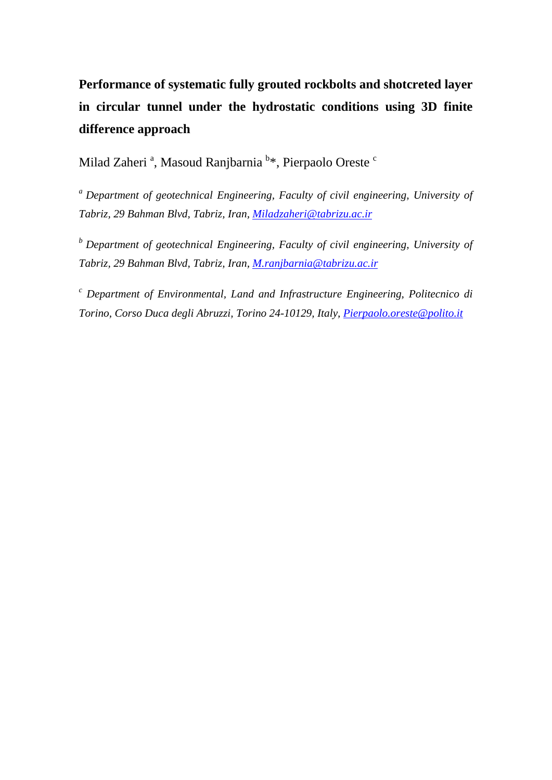# **Performance of systematic fully grouted rockbolts and shotcreted layer in circular tunnel under the hydrostatic conditions using 3D finite difference approach**

Milad Zaheri ª, Masoud Ranjbarnia  $^{\rm b}$ \*, Pierpaolo Oreste  $^{\rm c}$ 

*a Department of geotechnical Engineering, Faculty of civil engineering, University of Tabriz, 29 Bahman Blvd, Tabriz, Iran, [Miladzaheri@tabrizu.ac.ir](mailto:Miladzaheri@tabrizu.ac.ir)*

*b Department of geotechnical Engineering, Faculty of civil engineering, University of Tabriz, 29 Bahman Blvd, Tabriz, Iran, [M.ranjbarnia@tabrizu.ac.ir](mailto:M.ranjbarnia@tabrizu.ac.ir)*

*<sup>c</sup> Department of Environmental, Land and Infrastructure Engineering, Politecnico di Torino, Corso Duca degli Abruzzi, Torino 24-10129, Italy, [Pierpaolo.oreste@polito.it](mailto:Pierpaolo.oreste@polito.it)*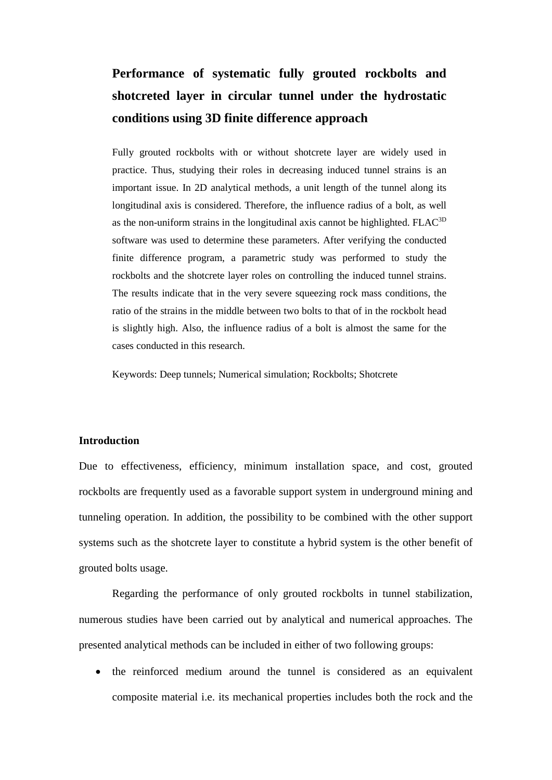# **Performance of systematic fully grouted rockbolts and shotcreted layer in circular tunnel under the hydrostatic conditions using 3D finite difference approach**

Fully grouted rockbolts with or without shotcrete layer are widely used in practice. Thus, studying their roles in decreasing induced tunnel strains is an important issue. In 2D analytical methods, a unit length of the tunnel along its longitudinal axis is considered. Therefore, the influence radius of a bolt, as well as the non-uniform strains in the longitudinal axis cannot be highlighted. FLAC<sup>3D</sup> software was used to determine these parameters. After verifying the conducted finite difference program, a parametric study was performed to study the rockbolts and the shotcrete layer roles on controlling the induced tunnel strains. The results indicate that in the very severe squeezing rock mass conditions, the ratio of the strains in the middle between two bolts to that of in the rockbolt head is slightly high. Also, the influence radius of a bolt is almost the same for the cases conducted in this research.

Keywords: Deep tunnels; Numerical simulation; Rockbolts; Shotcrete

### **Introduction**

Due to effectiveness, efficiency, minimum installation space, and cost, grouted rockbolts are frequently used as a favorable support system in underground mining and tunneling operation. In addition, the possibility to be combined with the other support systems such as the shotcrete layer to constitute a hybrid system is the other benefit of grouted bolts usage.

Regarding the performance of only grouted rockbolts in tunnel stabilization, numerous studies have been carried out by analytical and numerical approaches. The presented analytical methods can be included in either of two following groups:

• the reinforced medium around the tunnel is considered as an equivalent composite material i.e. its mechanical properties includes both the rock and the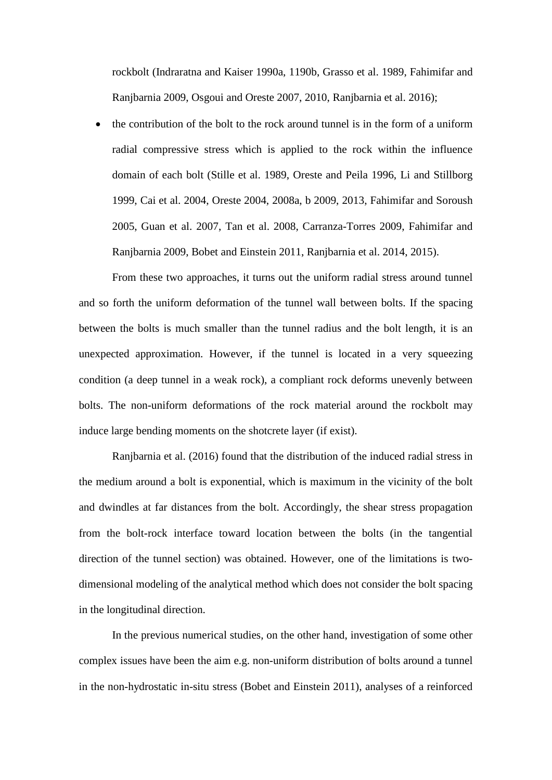rockbolt (Indraratna and Kaiser 1990a, 1190b, Grasso et al. 1989, Fahimifar and Ranjbarnia 2009, Osgoui and Oreste 2007, 2010, Ranjbarnia et al. 2016);

• the contribution of the bolt to the rock around tunnel is in the form of a uniform radial compressive stress which is applied to the rock within the influence domain of each bolt (Stille et al. 1989, Oreste and Peila 1996, Li and Stillborg 1999, Cai et al. 2004, Oreste 2004, 2008a, b 2009, 2013, Fahimifar and Soroush 2005, Guan et al. 2007, Tan et al. 2008, Carranza-Torres 2009, Fahimifar and Ranjbarnia 2009, Bobet and Einstein 2011, Ranjbarnia et al. 2014, 2015).

From these two approaches, it turns out the uniform radial stress around tunnel and so forth the uniform deformation of the tunnel wall between bolts. If the spacing between the bolts is much smaller than the tunnel radius and the bolt length, it is an unexpected approximation. However, if the tunnel is located in a very squeezing condition (a deep tunnel in a weak rock), a compliant rock deforms unevenly between bolts. The non-uniform deformations of the rock material around the rockbolt may induce large bending moments on the shotcrete layer (if exist).

Ranjbarnia et al. (2016) found that the distribution of the induced radial stress in the medium around a bolt is exponential, which is maximum in the vicinity of the bolt and dwindles at far distances from the bolt. Accordingly, the shear stress propagation from the bolt-rock interface toward location between the bolts (in the tangential direction of the tunnel section) was obtained. However, one of the limitations is twodimensional modeling of the analytical method which does not consider the bolt spacing in the longitudinal direction.

In the previous numerical studies, on the other hand, investigation of some other complex issues have been the aim e.g. non-uniform distribution of bolts around a tunnel in the non-hydrostatic in-situ stress (Bobet and Einstein 2011), analyses of a reinforced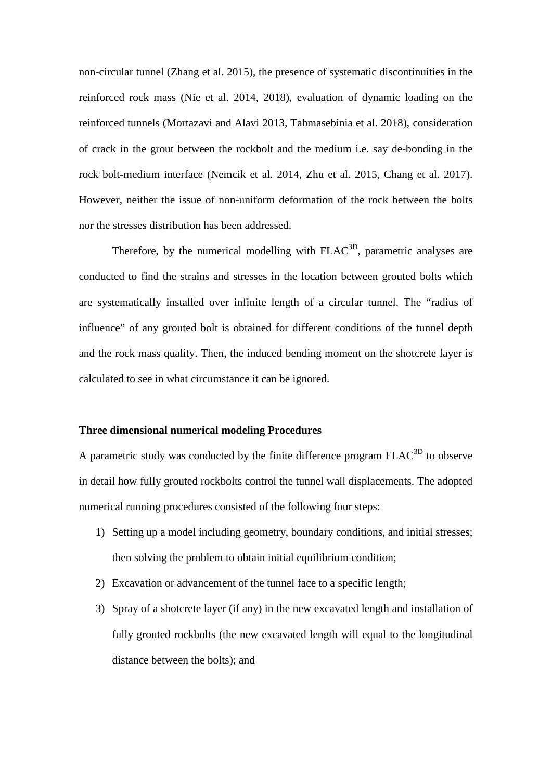non-circular tunnel (Zhang et al. 2015), the presence of systematic discontinuities in the reinforced rock mass (Nie et al. 2014, 2018), evaluation of dynamic loading on the reinforced tunnels (Mortazavi and Alavi 2013, Tahmasebinia et al. 2018), consideration of crack in the grout between the rockbolt and the medium i.e. say de-bonding in the rock bolt-medium interface (Nemcik et al. 2014, Zhu et al. 2015, Chang et al. 2017). However, neither the issue of non-uniform deformation of the rock between the bolts nor the stresses distribution has been addressed.

Therefore, by the numerical modelling with  $FLAC<sup>3D</sup>$ , parametric analyses are conducted to find the strains and stresses in the location between grouted bolts which are systematically installed over infinite length of a circular tunnel. The "radius of influence" of any grouted bolt is obtained for different conditions of the tunnel depth and the rock mass quality. Then, the induced bending moment on the shotcrete layer is calculated to see in what circumstance it can be ignored.

### **Three dimensional numerical modeling Procedures**

A parametric study was conducted by the finite difference program FLAC<sup>3D</sup> to observe in detail how fully grouted rockbolts control the tunnel wall displacements. The adopted numerical running procedures consisted of the following four steps:

- 1) Setting up a model including geometry, boundary conditions, and initial stresses; then solving the problem to obtain initial equilibrium condition;
- 2) Excavation or advancement of the tunnel face to a specific length;
- 3) Spray of a shotcrete layer (if any) in the new excavated length and installation of fully grouted rockbolts (the new excavated length will equal to the longitudinal distance between the bolts); and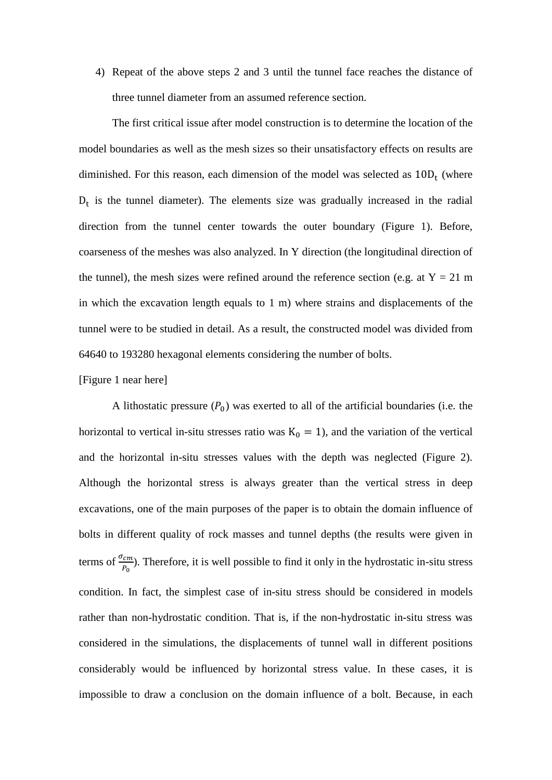4) Repeat of the above steps 2 and 3 until the tunnel face reaches the distance of three tunnel diameter from an assumed reference section.

The first critical issue after model construction is to determine the location of the model boundaries as well as the mesh sizes so their unsatisfactory effects on results are diminished. For this reason, each dimension of the model was selected as  $10D_t$  (where  $D_t$  is the tunnel diameter). The elements size was gradually increased in the radial direction from the tunnel center towards the outer boundary (Figure 1). Before, coarseness of the meshes was also analyzed. In Y direction (the longitudinal direction of the tunnel), the mesh sizes were refined around the reference section (e.g. at  $Y = 21$  m in which the excavation length equals to 1 m) where strains and displacements of the tunnel were to be studied in detail. As a result, the constructed model was divided from 64640 to 193280 hexagonal elements considering the number of bolts.

### [Figure 1 near here]

A lithostatic pressure  $(P_0)$  was exerted to all of the artificial boundaries (i.e. the horizontal to vertical in-situ stresses ratio was  $K_0 = 1$ ), and the variation of the vertical and the horizontal in-situ stresses values with the depth was neglected (Figure 2). Although the horizontal stress is always greater than the vertical stress in deep excavations, one of the main purposes of the paper is to obtain the domain influence of bolts in different quality of rock masses and tunnel depths (the results were given in terms of  $\frac{\sigma_{cm}}{P_0}$ ). Therefore, it is well possible to find it only in the hydrostatic in-situ stress condition. In fact, the simplest case of in-situ stress should be considered in models rather than non-hydrostatic condition. That is, if the non-hydrostatic in-situ stress was considered in the simulations, the displacements of tunnel wall in different positions considerably would be influenced by horizontal stress value. In these cases, it is impossible to draw a conclusion on the domain influence of a bolt. Because, in each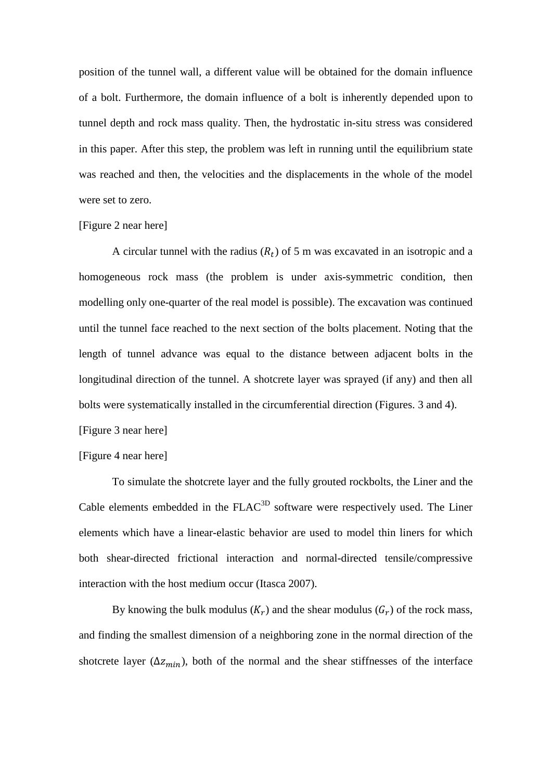position of the tunnel wall, a different value will be obtained for the domain influence of a bolt. Furthermore, the domain influence of a bolt is inherently depended upon to tunnel depth and rock mass quality. Then, the hydrostatic in-situ stress was considered in this paper. After this step, the problem was left in running until the equilibrium state was reached and then, the velocities and the displacements in the whole of the model were set to zero.

#### [Figure 2 near here]

A circular tunnel with the radius  $(R_t)$  of 5 m was excavated in an isotropic and a homogeneous rock mass (the problem is under axis-symmetric condition, then modelling only one-quarter of the real model is possible). The excavation was continued until the tunnel face reached to the next section of the bolts placement. Noting that the length of tunnel advance was equal to the distance between adjacent bolts in the longitudinal direction of the tunnel. A shotcrete layer was sprayed (if any) and then all bolts were systematically installed in the circumferential direction (Figures. 3 and 4). [Figure 3 near here]

# [Figure 4 near here]

To simulate the shotcrete layer and the fully grouted rockbolts, the Liner and the Cable elements embedded in the FLAC<sup>3D</sup> software were respectively used. The Liner elements which have a linear-elastic behavior are used to model thin liners for which both shear-directed frictional interaction and normal-directed tensile/compressive interaction with the host medium occur (Itasca 2007).

By knowing the bulk modulus  $(K_r)$  and the shear modulus  $(G_r)$  of the rock mass, and finding the smallest dimension of a neighboring zone in the normal direction of the shotcrete layer ( $\Delta z_{min}$ ), both of the normal and the shear stiffnesses of the interface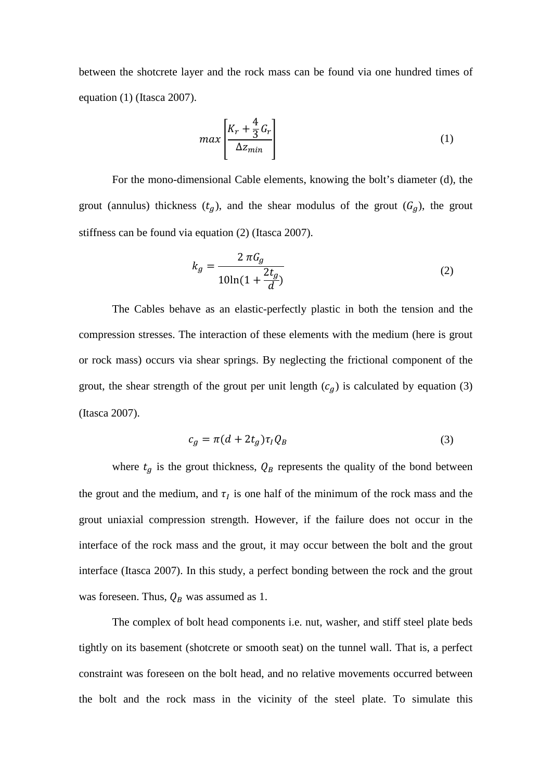between the shotcrete layer and the rock mass can be found via one hundred times of equation (1) (Itasca 2007).

$$
max\left[\frac{K_r + \frac{4}{3}G_r}{\Delta z_{min}}\right]
$$
 (1)

For the mono-dimensional Cable elements, knowing the bolt's diameter (d), the grout (annulus) thickness  $(t_g)$ , and the shear modulus of the grout  $(G_g)$ , the grout stiffness can be found via equation (2) (Itasca 2007).

$$
k_g = \frac{2 \pi G_g}{10 \ln(1 + \frac{2t_g}{d})}
$$
 (2)

The Cables behave as an elastic-perfectly plastic in both the tension and the compression stresses. The interaction of these elements with the medium (here is grout or rock mass) occurs via shear springs. By neglecting the frictional component of the grout, the shear strength of the grout per unit length  $(c_g)$  is calculated by equation (3) (Itasca 2007).

$$
c_g = \pi (d + 2t_g) \tau_l Q_B \tag{3}
$$

where  $t_g$  is the grout thickness,  $Q_B$  represents the quality of the bond between the grout and the medium, and  $\tau_l$  is one half of the minimum of the rock mass and the grout uniaxial compression strength. However, if the failure does not occur in the interface of the rock mass and the grout, it may occur between the bolt and the grout interface (Itasca 2007). In this study, a perfect bonding between the rock and the grout was foreseen. Thus,  $Q_B$  was assumed as 1.

The complex of bolt head components i.e. nut, washer, and stiff steel plate beds tightly on its basement (shotcrete or smooth seat) on the tunnel wall. That is, a perfect constraint was foreseen on the bolt head, and no relative movements occurred between the bolt and the rock mass in the vicinity of the steel plate. To simulate this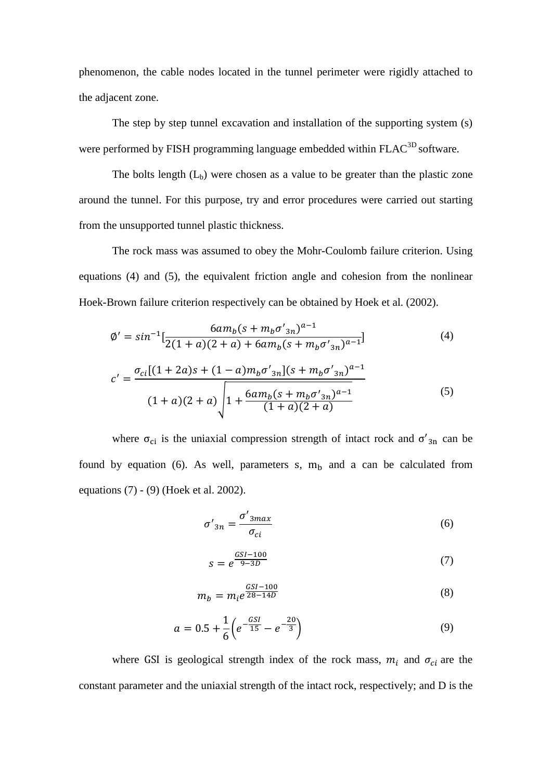phenomenon, the cable nodes located in the tunnel perimeter were rigidly attached to the adjacent zone.

The step by step tunnel excavation and installation of the supporting system (s) were performed by FISH programming language embedded within FLAC<sup>3D</sup> software.

The bolts length  $(L_b)$  were chosen as a value to be greater than the plastic zone around the tunnel. For this purpose, try and error procedures were carried out starting from the unsupported tunnel plastic thickness.

The rock mass was assumed to obey the Mohr-Coulomb failure criterion. Using equations (4) and (5), the equivalent friction angle and cohesion from the nonlinear Hoek-Brown failure criterion respectively can be obtained by Hoek et al. (2002).

$$
\phi' = \sin^{-1}\left[\frac{6am_b(s + m_b\sigma'_{3n})^{a-1}}{2(1+a)(2+a) + 6am_b(s + m_b\sigma'_{3n})^{a-1}}\right]
$$
\n
$$
c' = \frac{\sigma_{ci}[(1+2a)s + (1-a)m_b\sigma'_{3n}](s + m_b\sigma'_{3n})^{a-1}}{(1+a)(2+a)}\right]
$$
\n
$$
(5)
$$

where  $\sigma_{ci}$  is the uniaxial compression strength of intact rock and  $\sigma'_{3n}$  can be found by equation (6). As well, parameters s,  $m_b$  and a can be calculated from equations (7) - (9) (Hoek et al. 2002).

$$
\sigma'_{3n} = \frac{\sigma'_{3max}}{\sigma_{ci}}
$$
 (6)

$$
s = e^{\frac{GSI - 100}{9 - 3D}} \tag{7}
$$

$$
m_b = m_i e^{\frac{GSI - 100}{28 - 14D}}
$$
 (8)

$$
a = 0.5 + \frac{1}{6} \left( e^{-\frac{GSI}{15}} - e^{-\frac{20}{3}} \right)
$$
 (9)

where GSI is geological strength index of the rock mass,  $m_i$  and  $\sigma_{ci}$  are the constant parameter and the uniaxial strength of the intact rock, respectively; and D is the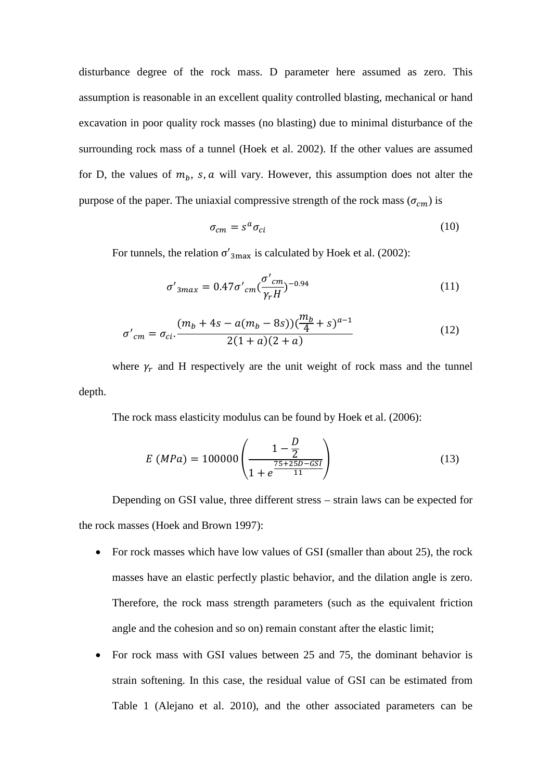disturbance degree of the rock mass. D parameter here assumed as zero. This assumption is reasonable in an excellent quality controlled blasting, mechanical or hand excavation in poor quality rock masses (no blasting) due to minimal disturbance of the surrounding rock mass of a tunnel (Hoek et al. 2002). If the other values are assumed for D, the values of  $m_b$ , s, a will vary. However, this assumption does not alter the purpose of the paper. The uniaxial compressive strength of the rock mass  $(\sigma_{cm})$  is

$$
\sigma_{cm} = s^a \sigma_{ci} \tag{10}
$$

For tunnels, the relation  $\sigma'_{3\text{max}}$  is calculated by Hoek et al. (2002):

$$
\sigma'_{3max} = 0.47 \sigma'_{cm} \left(\frac{\sigma'_{cm}}{\gamma_r H}\right)^{-0.94}
$$
 (11)

$$
\sigma'_{cm} = \sigma_{ci} \cdot \frac{(m_b + 4s - a(m_b - 8s))(\frac{m_b}{4} + s)^{a-1}}{2(1 + a)(2 + a)}
$$
(12)

where  $\gamma_r$  and H respectively are the unit weight of rock mass and the tunnel depth.

The rock mass elasticity modulus can be found by Hoek et al. (2006):

$$
E\ (MPa) = 100000 \left( \frac{1 - \frac{D}{2}}{1 + e^{\frac{75 + 25D - GS}{11}}} \right) \tag{13}
$$

Depending on GSI value, three different stress – strain laws can be expected for the rock masses (Hoek and Brown 1997):

- For rock masses which have low values of GSI (smaller than about 25), the rock masses have an elastic perfectly plastic behavior, and the dilation angle is zero. Therefore, the rock mass strength parameters (such as the equivalent friction angle and the cohesion and so on) remain constant after the elastic limit;
- For rock mass with GSI values between 25 and 75, the dominant behavior is strain softening. In this case, the residual value of GSI can be estimated from Table 1 (Alejano et al. 2010), and the other associated parameters can be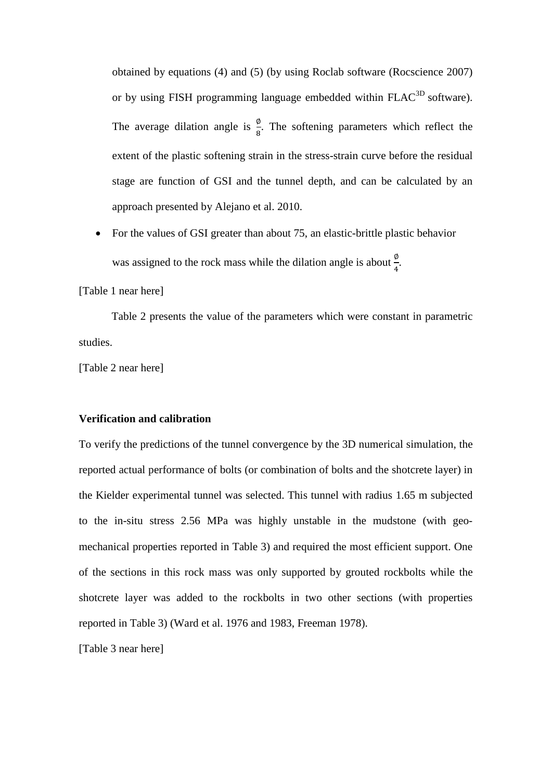obtained by equations (4) and (5) (by using Roclab software (Rocscience 2007) or by using FISH programming language embedded within FLAC<sup>3D</sup> software). The average dilation angle is  $\frac{\varphi}{8}$ . The softening parameters which reflect the extent of the plastic softening strain in the stress-strain curve before the residual stage are function of GSI and the tunnel depth, and can be calculated by an approach presented by Alejano et al. 2010.

• For the values of GSI greater than about 75, an elastic-brittle plastic behavior was assigned to the rock mass while the dilation angle is about  $\frac{\varphi}{4}$ .

[Table 1 near here]

Table 2 presents the value of the parameters which were constant in parametric studies.

[Table 2 near here]

### **Verification and calibration**

To verify the predictions of the tunnel convergence by the 3D numerical simulation, the reported actual performance of bolts (or combination of bolts and the shotcrete layer) in the Kielder experimental tunnel was selected. This tunnel with radius 1.65 m subjected to the in-situ stress 2.56 MPa was highly unstable in the mudstone (with geomechanical properties reported in Table 3) and required the most efficient support. One of the sections in this rock mass was only supported by grouted rockbolts while the shotcrete layer was added to the rockbolts in two other sections (with properties reported in Table 3) (Ward et al. 1976 and 1983, Freeman 1978).

[Table 3 near here]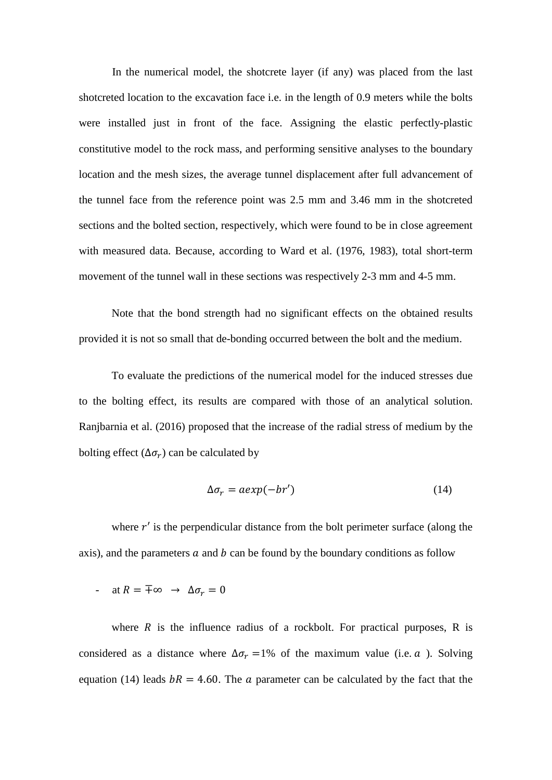In the numerical model, the shotcrete layer (if any) was placed from the last shotcreted location to the excavation face i.e. in the length of 0.9 meters while the bolts were installed just in front of the face. Assigning the elastic perfectly-plastic constitutive model to the rock mass, and performing sensitive analyses to the boundary location and the mesh sizes, the average tunnel displacement after full advancement of the tunnel face from the reference point was 2.5 mm and 3.46 mm in the shotcreted sections and the bolted section, respectively, which were found to be in close agreement with measured data. Because, according to Ward et al. (1976, 1983), total short-term movement of the tunnel wall in these sections was respectively 2-3 mm and 4-5 mm.

Note that the bond strength had no significant effects on the obtained results provided it is not so small that de-bonding occurred between the bolt and the medium.

To evaluate the predictions of the numerical model for the induced stresses due to the bolting effect, its results are compared with those of an analytical solution. Ranjbarnia et al. (2016) proposed that the increase of the radial stress of medium by the bolting effect ( $\Delta \sigma_r$ ) can be calculated by

$$
\Delta \sigma_r = a \exp(-b r') \tag{14}
$$

where  $r'$  is the perpendicular distance from the bolt perimeter surface (along the axis), and the parameters  $\alpha$  and  $\beta$  can be found by the boundary conditions as follow

 $\alpha$  at  $R = \pm \infty \rightarrow \Delta \sigma_r = 0$ 

where  $R$  is the influence radius of a rockbolt. For practical purposes,  $R$  is considered as a distance where  $\Delta \sigma_r = 1\%$  of the maximum value (i.e.  $\alpha$ ). Solving equation (14) leads  $bR = 4.60$ . The *a* parameter can be calculated by the fact that the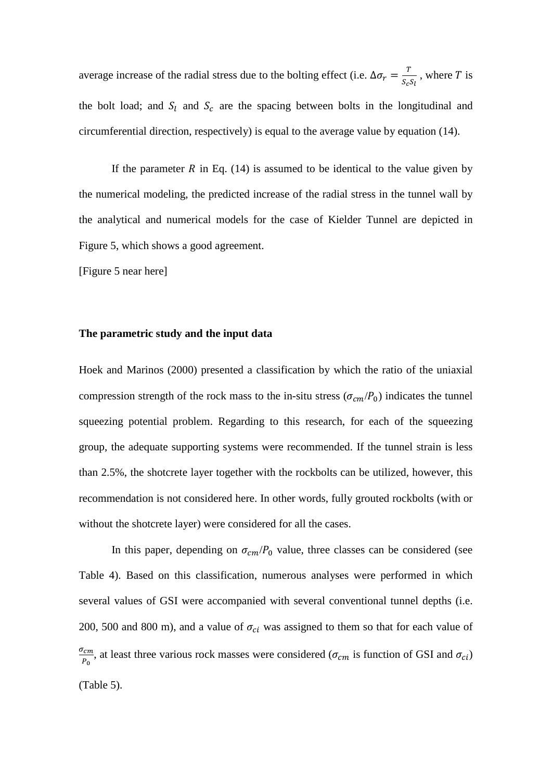average increase of the radial stress due to the bolting effect (i.e.  $\Delta \sigma_r = \frac{I}{S_c S_l}$ , where T is the bolt load; and  $S_l$  and  $S_c$  are the spacing between bolts in the longitudinal and circumferential direction, respectively) is equal to the average value by equation (14).

If the parameter R in Eq.  $(14)$  is assumed to be identical to the value given by the numerical modeling, the predicted increase of the radial stress in the tunnel wall by the analytical and numerical models for the case of Kielder Tunnel are depicted in Figure 5, which shows a good agreement.

[Figure 5 near here]

#### **The parametric study and the input data**

Hoek and Marinos (2000) presented a classification by which the ratio of the uniaxial compression strength of the rock mass to the in-situ stress ( $\sigma_{cm}/P_0$ ) indicates the tunnel squeezing potential problem. Regarding to this research, for each of the squeezing group, the adequate supporting systems were recommended. If the tunnel strain is less than 2.5%, the shotcrete layer together with the rockbolts can be utilized, however, this recommendation is not considered here. In other words, fully grouted rockbolts (with or without the shotcrete layer) were considered for all the cases.

In this paper, depending on  $\sigma_{cm}/P_0$  value, three classes can be considered (see Table 4). Based on this classification, numerous analyses were performed in which several values of GSI were accompanied with several conventional tunnel depths (i.e. 200, 500 and 800 m), and a value of  $\sigma_{ci}$  was assigned to them so that for each value of  $\sigma_{cm}$  $\frac{1}{P_0}$ , at least three various rock masses were considered ( $\sigma_{cm}$  is function of GSI and  $\sigma_{ci}$ ) (Table 5).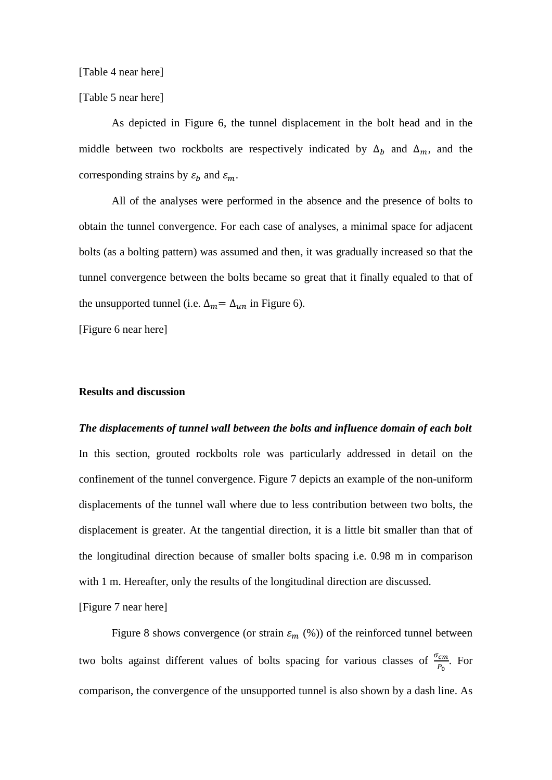[Table 4 near here]

[Table 5 near here]

As depicted in Figure 6, the tunnel displacement in the bolt head and in the middle between two rockbolts are respectively indicated by  $\Delta_b$  and  $\Delta_m$ , and the corresponding strains by  $\varepsilon_b$  and  $\varepsilon_m$ .

All of the analyses were performed in the absence and the presence of bolts to obtain the tunnel convergence. For each case of analyses, a minimal space for adjacent bolts (as a bolting pattern) was assumed and then, it was gradually increased so that the tunnel convergence between the bolts became so great that it finally equaled to that of the unsupported tunnel (i.e.  $\Delta_m = \Delta_{un}$  in Figure 6).

[Figure 6 near here]

### **Results and discussion**

## *The displacements of tunnel wall between the bolts and influence domain of each bolt*

In this section, grouted rockbolts role was particularly addressed in detail on the confinement of the tunnel convergence. Figure 7 depicts an example of the non-uniform displacements of the tunnel wall where due to less contribution between two bolts, the displacement is greater. At the tangential direction, it is a little bit smaller than that of the longitudinal direction because of smaller bolts spacing i.e. 0.98 m in comparison with 1 m. Hereafter, only the results of the longitudinal direction are discussed.

[Figure 7 near here]

Figure 8 shows convergence (or strain  $\varepsilon_m$  (%)) of the reinforced tunnel between two bolts against different values of bolts spacing for various classes of  $\frac{\sigma_{cm}}{P_0}$ . For comparison, the convergence of the unsupported tunnel is also shown by a dash line. As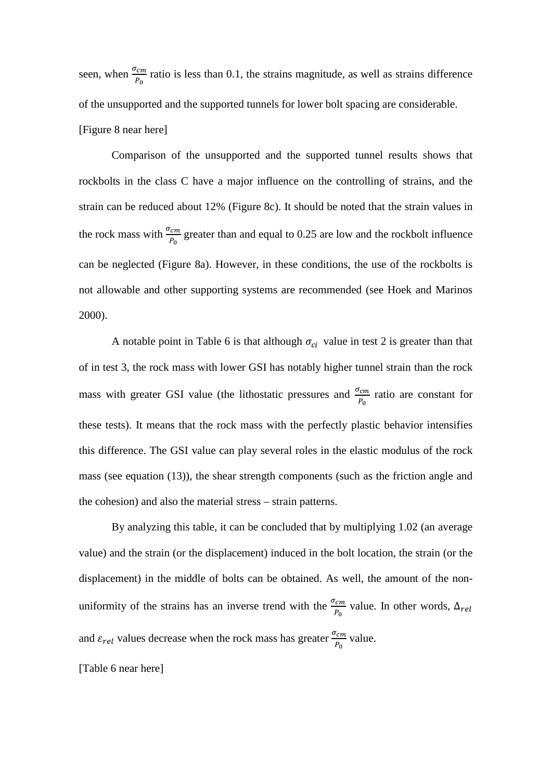seen, when  $\frac{\sigma_{cm}}{P_0}$  ratio is less than 0.1, the strains magnitude, as well as strains difference of the unsupported and the supported tunnels for lower bolt spacing are considerable. [Figure 8 near here]

Comparison of the unsupported and the supported tunnel results shows that rockbolts in the class C have a major influence on the controlling of strains, and the strain can be reduced about 12% (Figure 8c). It should be noted that the strain values in the rock mass with  $\frac{\sigma_{cm}}{P_0}$  greater than and equal to 0.25 are low and the rockbolt influence can be neglected (Figure 8a). However, in these conditions, the use of the rockbolts is not allowable and other supporting systems are recommended (see Hoek and Marinos 2000).

A notable point in Table 6 is that although  $\sigma_{ci}$  value in test 2 is greater than that of in test 3, the rock mass with lower GSI has notably higher tunnel strain than the rock mass with greater GSI value (the lithostatic pressures and  $\frac{\sigma_{cm}}{P_0}$  ratio are constant for these tests). It means that the rock mass with the perfectly plastic behavior intensifies this difference. The GSI value can play several roles in the elastic modulus of the rock mass (see equation (13)), the shear strength components (such as the friction angle and the cohesion) and also the material stress – strain patterns.

By analyzing this table, it can be concluded that by multiplying 1.02 (an average value) and the strain (or the displacement) induced in the bolt location, the strain (or the displacement) in the middle of bolts can be obtained. As well, the amount of the nonuniformity of the strains has an inverse trend with the  $\frac{\sigma_{cm}}{P_0}$  value. In other words,  $\Delta_{re}$ and  $\varepsilon_{rel}$  values decrease when the rock mass has greater  $\frac{\sigma_{cm}}{P_0}$  value.

#### [Table 6 near here]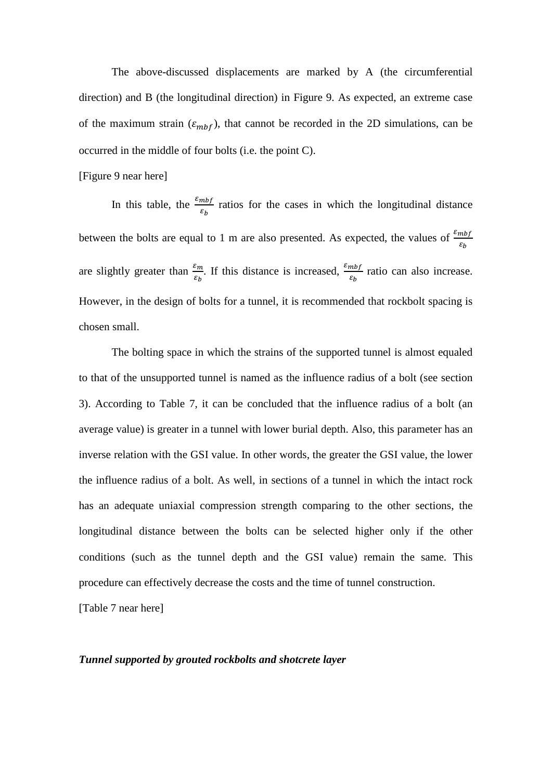The above-discussed displacements are marked by A (the circumferential direction) and B (the longitudinal direction) in Figure 9. As expected, an extreme case of the maximum strain  $(\varepsilon_{mbf})$ , that cannot be recorded in the 2D simulations, can be occurred in the middle of four bolts (i.e. the point C).

[Figure 9 near here]

In this table, the  $\frac{\varepsilon_{mbf}}{\varepsilon_b}$  ratios for the cases in which the longitudinal distance between the bolts are equal to 1 m are also presented. As expected, the values of  $\frac{\varepsilon_{mbf}}{\varepsilon_b}$ are slightly greater than  $\frac{\varepsilon_m}{\varepsilon_b}$ . If this distance is increased,  $\frac{\varepsilon_m b_f}{\varepsilon_b}$  ratio can also increase. However, in the design of bolts for a tunnel, it is recommended that rockbolt spacing is chosen small.

The bolting space in which the strains of the supported tunnel is almost equaled to that of the unsupported tunnel is named as the influence radius of a bolt (see section 3). According to Table 7, it can be concluded that the influence radius of a bolt (an average value) is greater in a tunnel with lower burial depth. Also, this parameter has an inverse relation with the GSI value. In other words, the greater the GSI value, the lower the influence radius of a bolt. As well, in sections of a tunnel in which the intact rock has an adequate uniaxial compression strength comparing to the other sections, the longitudinal distance between the bolts can be selected higher only if the other conditions (such as the tunnel depth and the GSI value) remain the same. This procedure can effectively decrease the costs and the time of tunnel construction.

[Table 7 near here]

#### *Tunnel supported by grouted rockbolts and shotcrete layer*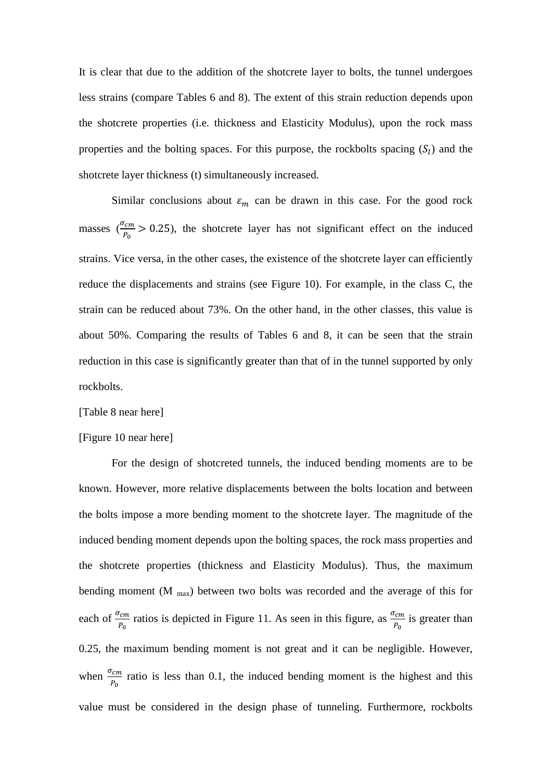It is clear that due to the addition of the shotcrete layer to bolts, the tunnel undergoes less strains (compare Tables 6 and 8). The extent of this strain reduction depends upon the shotcrete properties (i.e. thickness and Elasticity Modulus), upon the rock mass properties and the bolting spaces. For this purpose, the rockbolts spacing  $(S<sub>l</sub>)$  and the shotcrete layer thickness (t) simultaneously increased.

Similar conclusions about  $\varepsilon_m$  can be drawn in this case. For the good rock masses ( $\frac{\sigma_{cm}}{P_0} > 0.25$ ), the shotcrete layer has not significant effect on the induced strains. Vice versa, in the other cases, the existence of the shotcrete layer can efficiently reduce the displacements and strains (see Figure 10). For example, in the class C, the strain can be reduced about 73%. On the other hand, in the other classes, this value is about 50%. Comparing the results of Tables 6 and 8, it can be seen that the strain reduction in this case is significantly greater than that of in the tunnel supported by only rockbolts.

#### [Table 8 near here]

#### [Figure 10 near here]

For the design of shotcreted tunnels, the induced bending moments are to be known. However, more relative displacements between the bolts location and between the bolts impose a more bending moment to the shotcrete layer. The magnitude of the induced bending moment depends upon the bolting spaces, the rock mass properties and the shotcrete properties (thickness and Elasticity Modulus). Thus, the maximum bending moment (M  $_{\text{max}}$ ) between two bolts was recorded and the average of this for each of  $\frac{\sigma_{cm}}{P_0}$  ratios is depicted in Figure 11. As seen in this figure, as  $\frac{\sigma_{cm}}{P_0}$  is greater than 0.25, the maximum bending moment is not great and it can be negligible. However, when  $\frac{\sigma_{cm}}{P_0}$  ratio is less than 0.1, the induced bending moment is the highest and this value must be considered in the design phase of tunneling. Furthermore, rockbolts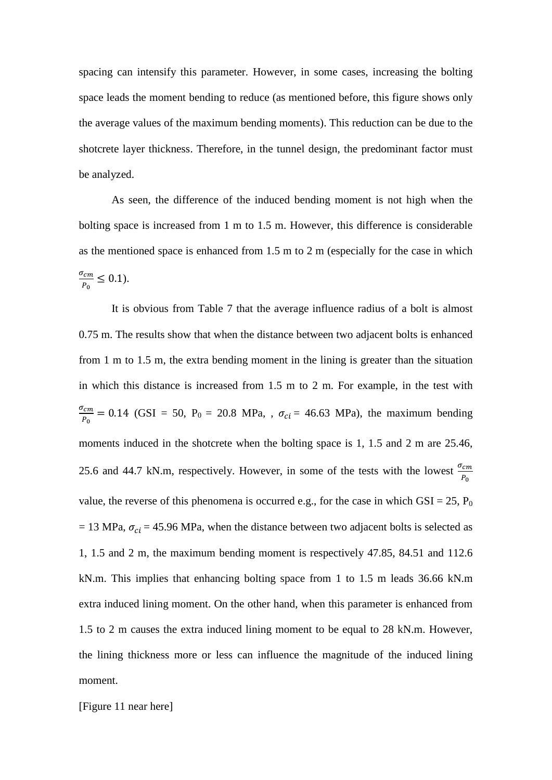spacing can intensify this parameter. However, in some cases, increasing the bolting space leads the moment bending to reduce (as mentioned before, this figure shows only the average values of the maximum bending moments). This reduction can be due to the shotcrete layer thickness. Therefore, in the tunnel design, the predominant factor must be analyzed.

As seen, the difference of the induced bending moment is not high when the bolting space is increased from 1 m to 1.5 m. However, this difference is considerable as the mentioned space is enhanced from 1.5 m to 2 m (especially for the case in which  $\sigma_{cm}$  $\frac{c_m}{P_0} \leq 0.1$ ).

It is obvious from Table 7 that the average influence radius of a bolt is almost 0.75 m. The results show that when the distance between two adjacent bolts is enhanced from 1 m to 1.5 m, the extra bending moment in the lining is greater than the situation in which this distance is increased from 1.5 m to 2 m. For example, in the test with  $\sigma_{cm}$  $\frac{cm}{P_0} = 0.14$  (GSI = 50, P<sub>0</sub> = 20.8 MPa, ,  $\sigma_{ci} = 46.63$  MPa), the maximum bending moments induced in the shotcrete when the bolting space is 1, 1.5 and 2 m are 25.46, 25.6 and 44.7 kN.m, respectively. However, in some of the tests with the lowest  $\frac{\sigma_{cm}}{P_0}$ value, the reverse of this phenomena is occurred e.g., for the case in which  $GSI = 25$ ,  $P_0$  $= 13$  MPa,  $\sigma_{ci} = 45.96$  MPa, when the distance between two adjacent bolts is selected as 1, 1.5 and 2 m, the maximum bending moment is respectively 47.85, 84.51 and 112.6 kN.m. This implies that enhancing bolting space from 1 to 1.5 m leads 36.66 kN.m extra induced lining moment. On the other hand, when this parameter is enhanced from 1.5 to 2 m causes the extra induced lining moment to be equal to 28 kN.m. However, the lining thickness more or less can influence the magnitude of the induced lining moment.

[Figure 11 near here]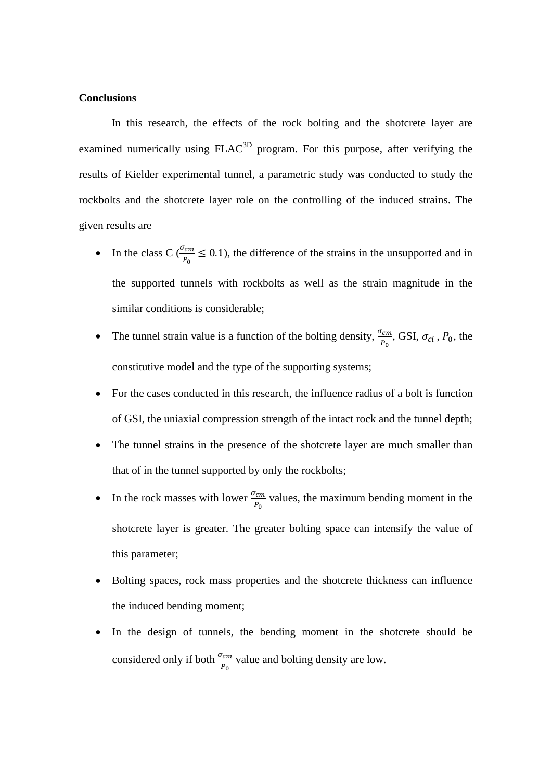### **Conclusions**

In this research, the effects of the rock bolting and the shotcrete layer are examined numerically using  $FLAC<sup>3D</sup>$  program. For this purpose, after verifying the results of Kielder experimental tunnel, a parametric study was conducted to study the rockbolts and the shotcrete layer role on the controlling of the induced strains. The given results are

- In the class C ( $\frac{\sigma_{cm}}{P_0} \le 0.1$ ), the difference of the strains in the unsupported and in the supported tunnels with rockbolts as well as the strain magnitude in the similar conditions is considerable;
- The tunnel strain value is a function of the bolting density,  $\frac{\sigma_{cm}}{P_0}$ , GSI,  $\sigma_{ci}$ ,  $P_0$ , the constitutive model and the type of the supporting systems;
- For the cases conducted in this research, the influence radius of a bolt is function of GSI, the uniaxial compression strength of the intact rock and the tunnel depth;
- The tunnel strains in the presence of the shotcrete layer are much smaller than that of in the tunnel supported by only the rockbolts;
- In the rock masses with lower  $\frac{\sigma_{cm}}{P_0}$  values, the maximum bending moment in the shotcrete layer is greater. The greater bolting space can intensify the value of this parameter;
- Bolting spaces, rock mass properties and the shotcrete thickness can influence the induced bending moment;
- In the design of tunnels, the bending moment in the shotcrete should be considered only if both  $\frac{\sigma_{cm}}{P_0}$  value and bolting density are low.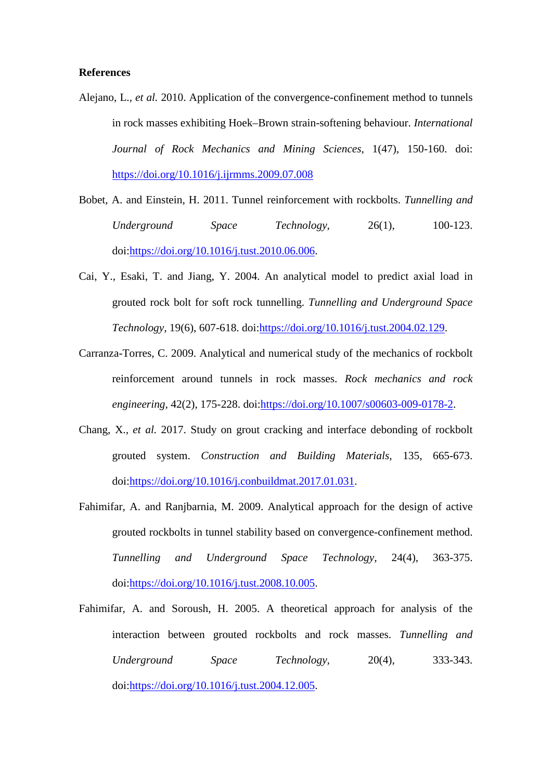### **References**

- Alejano, L.*, et al.* 2010. Application of the convergence-confinement method to tunnels in rock masses exhibiting Hoek–Brown strain-softening behaviour. *International Journal of Rock Mechanics and Mining Sciences,* 1(47), 150-160. doi: <https://doi.org/10.1016/j.ijrmms.2009.07.008>
- Bobet, A. and Einstein, H. 2011. Tunnel reinforcement with rockbolts. *Tunnelling and Underground Space Technology,* 26(1), 100-123. doi[:https://doi.org/10.1016/j.tust.2010.06.006.](https://doi.org/10.1016/j.tust.2010.06.006)
- Cai, Y., Esaki, T. and Jiang, Y. 2004. An analytical model to predict axial load in grouted rock bolt for soft rock tunnelling. *Tunnelling and Underground Space Technology,* 19(6), 607-618. doi[:https://doi.org/10.1016/j.tust.2004.02.129.](https://doi.org/10.1016/j.tust.2004.02.129)
- Carranza-Torres, C. 2009. Analytical and numerical study of the mechanics of rockbolt reinforcement around tunnels in rock masses. *Rock mechanics and rock engineering,* 42(2), 175-228. doi[:https://doi.org/10.1007/s00603-009-0178-2.](https://doi.org/10.1007/s00603-009-0178-2)
- Chang, X.*, et al.* 2017. Study on grout cracking and interface debonding of rockbolt grouted system. *Construction and Building Materials,* 135, 665-673. doi[:https://doi.org/10.1016/j.conbuildmat.2017.01.031.](https://doi.org/10.1016/j.conbuildmat.2017.01.031)
- Fahimifar, A. and Ranjbarnia, M. 2009. Analytical approach for the design of active grouted rockbolts in tunnel stability based on convergence-confinement method. *Tunnelling and Underground Space Technology,* 24(4), 363-375. doi[:https://doi.org/10.1016/j.tust.2008.10.005.](https://doi.org/10.1016/j.tust.2008.10.005)
- Fahimifar, A. and Soroush, H. 2005. A theoretical approach for analysis of the interaction between grouted rockbolts and rock masses. *Tunnelling and Underground Space Technology,* 20(4), 333-343. doi[:https://doi.org/10.1016/j.tust.2004.12.005.](https://doi.org/10.1016/j.tust.2004.12.005)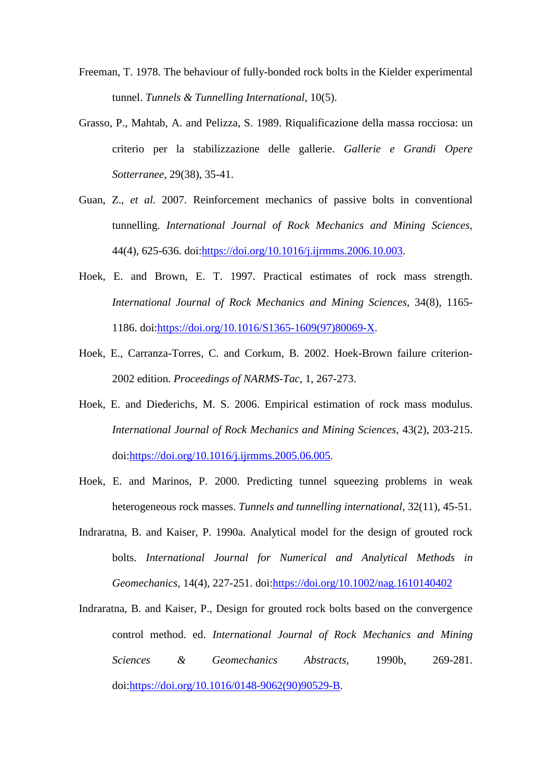- Freeman, T. 1978. The behaviour of fully-bonded rock bolts in the Kielder experimental tunnel. *Tunnels & Tunnelling International,* 10(5).
- Grasso, P., Mahtab, A. and Pelizza, S. 1989. Riqualificazione della massa rocciosa: un criterio per la stabilizzazione delle gallerie. *Gallerie e Grandi Opere Sotterranee,* 29(38), 35-41.
- Guan, Z.*, et al.* 2007. Reinforcement mechanics of passive bolts in conventional tunnelling. *International Journal of Rock Mechanics and Mining Sciences,* 44(4), 625-636. doi[:https://doi.org/10.1016/j.ijrmms.2006.10.003.](https://doi.org/10.1016/j.ijrmms.2006.10.003)
- Hoek, E. and Brown, E. T. 1997. Practical estimates of rock mass strength. *International Journal of Rock Mechanics and Mining Sciences,* 34(8), 1165- 1186. doi[:https://doi.org/10.1016/S1365-1609\(97\)80069-X.](https://doi.org/10.1016/S1365-1609(97)80069-X)
- Hoek, E., Carranza-Torres, C. and Corkum, B. 2002. Hoek-Brown failure criterion-2002 edition. *Proceedings of NARMS-Tac,* 1, 267-273.
- Hoek, E. and Diederichs, M. S. 2006. Empirical estimation of rock mass modulus. *International Journal of Rock Mechanics and Mining Sciences,* 43(2), 203-215. doi[:https://doi.org/10.1016/j.ijrmms.2005.06.005.](https://doi.org/10.1016/j.ijrmms.2005.06.005)
- Hoek, E. and Marinos, P. 2000. Predicting tunnel squeezing problems in weak heterogeneous rock masses. *Tunnels and tunnelling international,* 32(11), 45-51.
- Indraratna, B. and Kaiser, P. 1990a. Analytical model for the design of grouted rock bolts. *International Journal for Numerical and Analytical Methods in Geomechanics,* 14(4), 227-251. doi[:https://doi.org/10.1002/nag.1610140402](https://doi.org/10.1002/nag.1610140402)
- Indraratna, B. and Kaiser, P., Design for grouted rock bolts based on the convergence control method. ed. *International Journal of Rock Mechanics and Mining Sciences & Geomechanics Abstracts*, 1990b, 269-281. doi[:https://doi.org/10.1016/0148-9062\(90\)90529-B.](https://doi.org/10.1016/0148-9062(90)90529-B)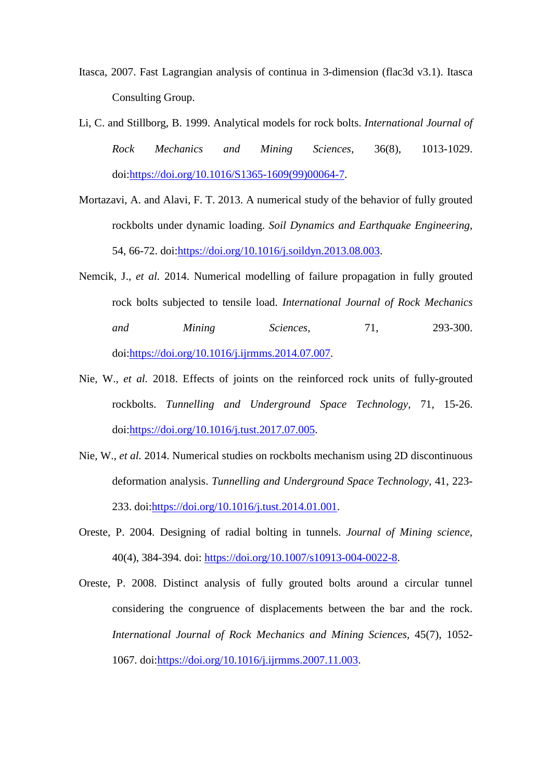- Itasca, 2007. Fast Lagrangian analysis of continua in 3-dimension (flac3d v3.1). Itasca Consulting Group.
- Li, C. and Stillborg, B. 1999. Analytical models for rock bolts. *International Journal of Rock Mechanics and Mining Sciences,* 36(8), 1013-1029. doi[:https://doi.org/10.1016/S1365-1609\(99\)00064-7.](https://doi.org/10.1016/S1365-1609(99)00064-7)
- Mortazavi, A. and Alavi, F. T. 2013. A numerical study of the behavior of fully grouted rockbolts under dynamic loading. *Soil Dynamics and Earthquake Engineering,* 54, 66-72. doi[:https://doi.org/10.1016/j.soildyn.2013.08.003.](https://doi.org/10.1016/j.soildyn.2013.08.003)
- Nemcik, J.*, et al.* 2014. Numerical modelling of failure propagation in fully grouted rock bolts subjected to tensile load. *International Journal of Rock Mechanics and Mining Sciences,* 71, 293-300. doi[:https://doi.org/10.1016/j.ijrmms.2014.07.007.](https://doi.org/10.1016/j.ijrmms.2014.07.007)
- Nie, W.*, et al.* 2018. Effects of joints on the reinforced rock units of fully-grouted rockbolts. *Tunnelling and Underground Space Technology,* 71, 15-26. doi[:https://doi.org/10.1016/j.tust.2017.07.005.](https://doi.org/10.1016/j.tust.2017.07.005)
- Nie, W.*, et al.* 2014. Numerical studies on rockbolts mechanism using 2D discontinuous deformation analysis. *Tunnelling and Underground Space Technology,* 41, 223- 233. doi[:https://doi.org/10.1016/j.tust.2014.01.001.](https://doi.org/10.1016/j.tust.2014.01.001)
- Oreste, P. 2004. Designing of radial bolting in tunnels. *Journal of Mining science,* 40(4), 384-394. doi: [https://doi.org/10.1007/s10913-004-0022-8.](https://doi.org/10.1007/s10913-004-0022-8)
- Oreste, P. 2008. Distinct analysis of fully grouted bolts around a circular tunnel considering the congruence of displacements between the bar and the rock. *International Journal of Rock Mechanics and Mining Sciences,* 45(7), 1052- 1067. doi[:https://doi.org/10.1016/j.ijrmms.2007.11.003.](https://doi.org/10.1016/j.ijrmms.2007.11.003)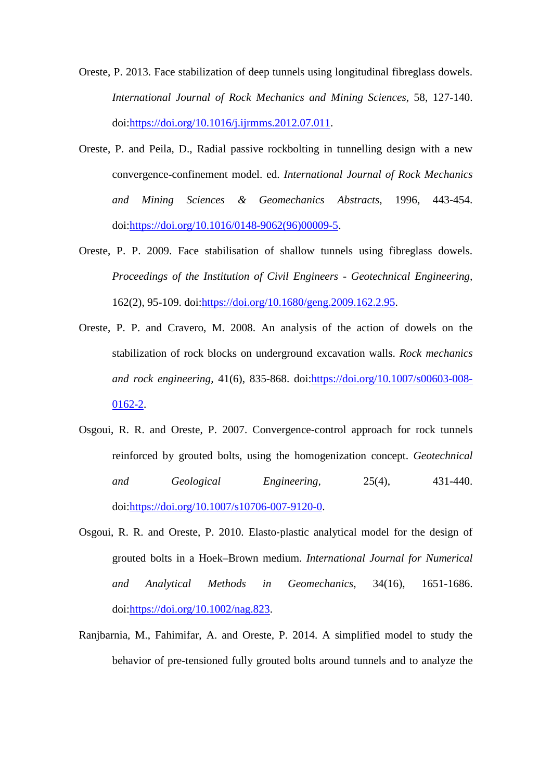Oreste, P. 2013. Face stabilization of deep tunnels using longitudinal fibreglass dowels. *International Journal of Rock Mechanics and Mining Sciences,* 58, 127-140. doi[:https://doi.org/10.1016/j.ijrmms.2012.07.011.](https://doi.org/10.1016/j.ijrmms.2012.07.011)

- Oreste, P. and Peila, D., Radial passive rockbolting in tunnelling design with a new convergence-confinement model. ed. *International Journal of Rock Mechanics and Mining Sciences & Geomechanics Abstracts*, 1996, 443-454. doi[:https://doi.org/10.1016/0148-9062\(96\)00009-5.](https://doi.org/10.1016/0148-9062(96)00009-5)
- Oreste, P. P. 2009. Face stabilisation of shallow tunnels using fibreglass dowels. *Proceedings of the Institution of Civil Engineers - Geotechnical Engineering,* 162(2), 95-109. doi[:https://doi.org/10.1680/geng.2009.162.2.95.](https://doi.org/10.1680/geng.2009.162.2.95)
- Oreste, P. P. and Cravero, M. 2008. An analysis of the action of dowels on the stabilization of rock blocks on underground excavation walls. *Rock mechanics and rock engineering,* 41(6), 835-868. doi[:https://doi.org/10.1007/s00603-008-](https://doi.org/10.1007/s00603-008-0162-2) [0162-2.](https://doi.org/10.1007/s00603-008-0162-2)
- Osgoui, R. R. and Oreste, P. 2007. Convergence-control approach for rock tunnels reinforced by grouted bolts, using the homogenization concept. *Geotechnical and Geological Engineering,* 25(4), 431-440. doi[:https://doi.org/10.1007/s10706-007-9120-0.](https://doi.org/10.1007/s10706-007-9120-0)
- Osgoui, R. R. and Oreste, P. 2010. Elasto‐plastic analytical model for the design of grouted bolts in a Hoek–Brown medium. *International Journal for Numerical and Analytical Methods in Geomechanics,* 34(16), 1651-1686. doi[:https://doi.org/10.1002/nag.823.](https://doi.org/10.1002/nag.823)
- Ranjbarnia, M., Fahimifar, A. and Oreste, P. 2014. A simplified model to study the behavior of pre-tensioned fully grouted bolts around tunnels and to analyze the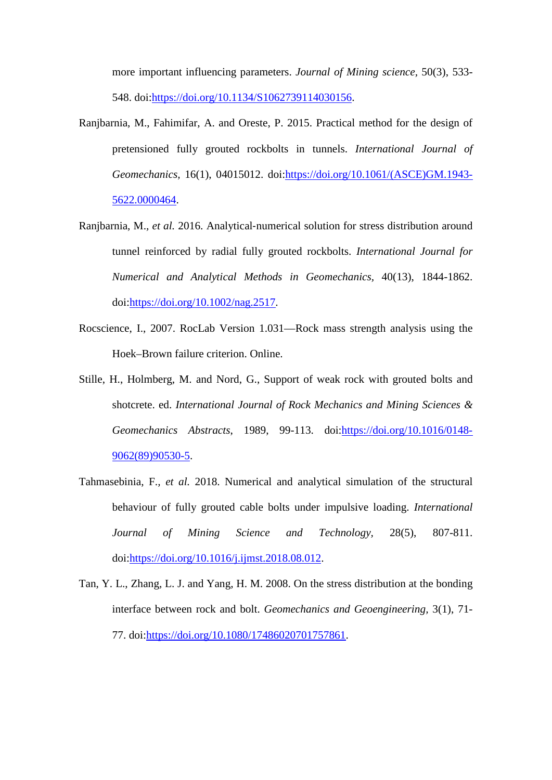more important influencing parameters. *Journal of Mining science,* 50(3), 533- 548. doi[:https://doi.org/10.1134/S1062739114030156.](https://doi.org/10.1134/S1062739114030156)

- Ranjbarnia, M., Fahimifar, A. and Oreste, P. 2015. Practical method for the design of pretensioned fully grouted rockbolts in tunnels. *International Journal of Geomechanics,* 16(1), 04015012. doi[:https://doi.org/10.1061/\(ASCE\)GM.1943-](https://doi.org/10.1061/(ASCE)GM.1943-5622.0000464) [5622.0000464.](https://doi.org/10.1061/(ASCE)GM.1943-5622.0000464)
- Ranjbarnia, M., et al. 2016. Analytical-numerical solution for stress distribution around tunnel reinforced by radial fully grouted rockbolts. *International Journal for Numerical and Analytical Methods in Geomechanics,* 40(13), 1844-1862. doi[:https://doi.org/10.1002/nag.2517.](https://doi.org/10.1002/nag.2517)
- Rocscience, I., 2007. RocLab Version 1.031—Rock mass strength analysis using the Hoek–Brown failure criterion. Online.
- Stille, H., Holmberg, M. and Nord, G., Support of weak rock with grouted bolts and shotcrete. ed. *International Journal of Rock Mechanics and Mining Sciences & Geomechanics Abstracts*, 1989, 99-113. doi[:https://doi.org/10.1016/0148-](https://doi.org/10.1016/0148-9062(89)90530-5) [9062\(89\)90530-5.](https://doi.org/10.1016/0148-9062(89)90530-5)
- Tahmasebinia, F.*, et al.* 2018. Numerical and analytical simulation of the structural behaviour of fully grouted cable bolts under impulsive loading. *International Journal of Mining Science and Technology,* 28(5), 807-811. doi[:https://doi.org/10.1016/j.ijmst.2018.08.012.](https://doi.org/10.1016/j.ijmst.2018.08.012)
- Tan, Y. L., Zhang, L. J. and Yang, H. M. 2008. On the stress distribution at the bonding interface between rock and bolt. *Geomechanics and Geoengineering,* 3(1), 71- 77. doi[:https://doi.org/10.1080/17486020701757861.](https://doi.org/10.1080/17486020701757861)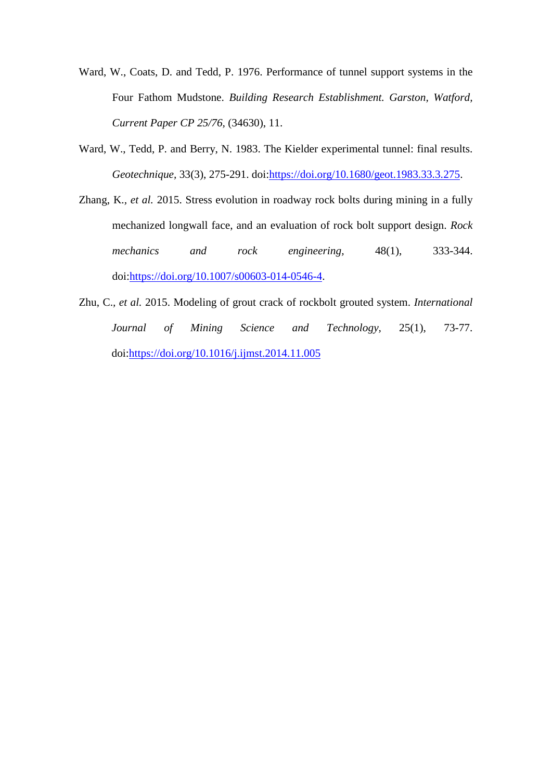- Ward, W., Coats, D. and Tedd, P. 1976. Performance of tunnel support systems in the Four Fathom Mudstone. *Building Research Establishment. Garston, Watford, Current Paper CP 25/76,* (34630), 11.
- Ward, W., Tedd, P. and Berry, N. 1983. The Kielder experimental tunnel: final results. *Geotechnique,* 33(3), 275-291. doi[:https://doi.org/10.1680/geot.1983.33.3.275.](https://doi.org/10.1680/geot.1983.33.3.275)
- Zhang, K.*, et al.* 2015. Stress evolution in roadway rock bolts during mining in a fully mechanized longwall face, and an evaluation of rock bolt support design. *Rock mechanics and rock engineering,* 48(1), 333-344. doi[:https://doi.org/10.1007/s00603-014-0546-4.](https://doi.org/10.1007/s00603-014-0546-4)
- Zhu, C.*, et al.* 2015. Modeling of grout crack of rockbolt grouted system. *International Journal of Mining Science and Technology,* 25(1), 73-77. doi[:https://doi.org/10.1016/j.ijmst.2014.11.005](https://doi.org/10.1016/j.ijmst.2014.11.005)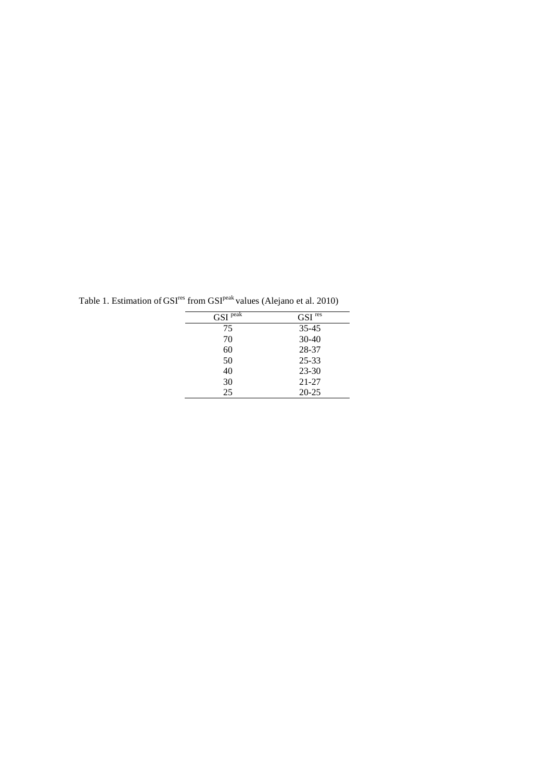|                       | $\cdot$            |
|-----------------------|--------------------|
| $GSI$ <sup>peak</sup> | $\mathrm{GSI}$ res |
| 75                    | $35 - 45$          |
| 70                    | $30 - 40$          |
| 60                    | 28-37              |
| 50                    | $25 - 33$          |
| 40                    | $23 - 30$          |
| 30                    | $21 - 27$          |
| 25                    | $20 - 25$          |
|                       |                    |

Table 1. Estimation of  $\text{GSI}^{\text{res}}$  from  $\text{GSI}^{\text{peak}}$  values (Alejano et al. 2010)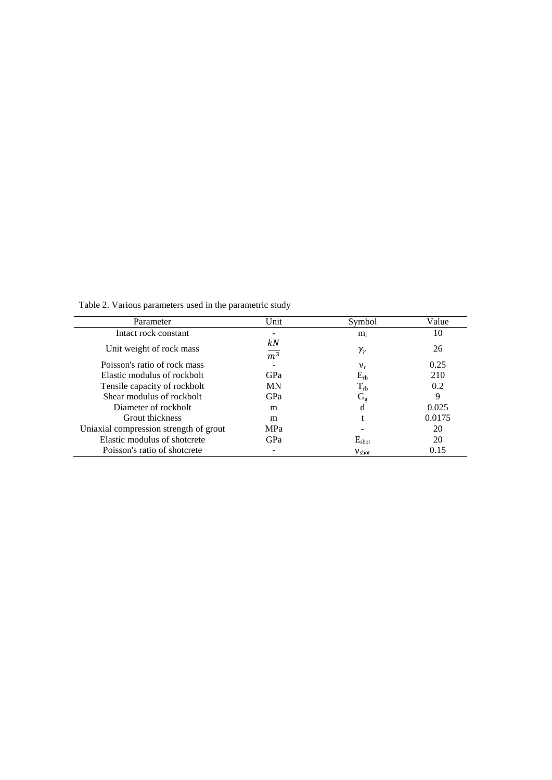Table 2. Various parameters used in the parametric study

| Parameter                              | Unit                   | Symbol            | Value  |
|----------------------------------------|------------------------|-------------------|--------|
| Intact rock constant                   |                        | $m_i$             | 10     |
| Unit weight of rock mass               | kΝ<br>$\overline{m^3}$ | $\gamma_r$        | 26     |
| Poisson's ratio of rock mass           |                        | $v_{r}$           | 0.25   |
| Elastic modulus of rockbolt            | GPa                    | $E_{rb}$          | 210    |
| Tensile capacity of rockbolt           | <b>MN</b>              | $\rm T_{rb}$      | 0.2    |
| Shear modulus of rockbolt              | GPa                    | $\rm G_g$         | 9      |
| Diameter of rockbolt                   | m                      | d                 | 0.025  |
| <b>Grout thickness</b>                 | m                      |                   | 0.0175 |
| Uniaxial compression strength of grout | <b>MPa</b>             |                   | 20     |
| Elastic modulus of shotcrete           | GPa                    | $E_{\text{shot}}$ | 20     |
| Poisson's ratio of shotcrete           |                        | $V_{shot}$        | 0.15   |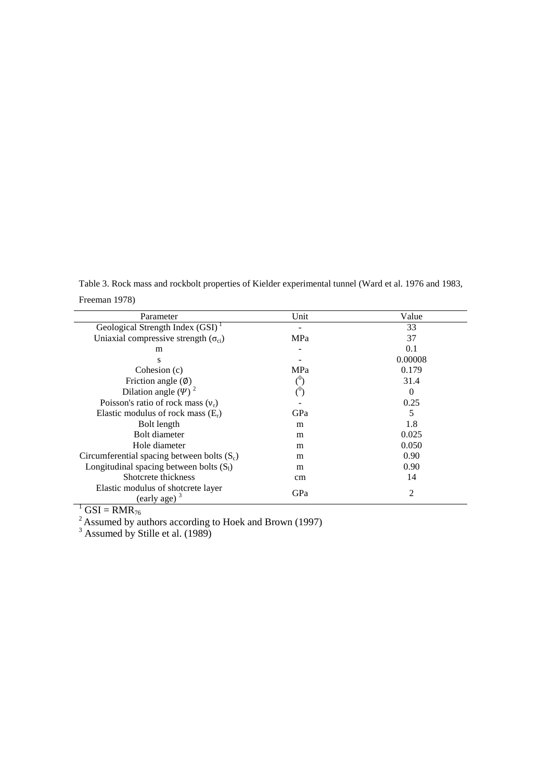Table 3. Rock mass and rockbolt properties of Kielder experimental tunnel (Ward et al. 1976 and 1983, Freeman 1978)

| Parameter                                             | Unit             | Value    |
|-------------------------------------------------------|------------------|----------|
| Geological Strength Index $(GSI)^T$                   |                  | 33       |
| Uniaxial compressive strength $(\sigma_{ci})$         | MPa              | 37       |
| m                                                     |                  | 0.1      |
| S                                                     |                  | 0.00008  |
| Cohesion (c)                                          | <b>MPa</b>       | 0.179    |
| Friction angle $(\emptyset)$                          |                  | 31.4     |
| Dilation angle $(\Psi)^2$                             | ( <sup>U</sup> ) | $\Omega$ |
| Poisson's ratio of rock mass $(v_r)$                  |                  | 0.25     |
| Elastic modulus of rock mass $(E_r)$                  | GPa              | 5        |
| Bolt length                                           | m                | 1.8      |
| <b>Bolt diameter</b>                                  | m                | 0.025    |
| Hole diameter                                         | m                | 0.050    |
| Circumferential spacing between bolts $(S_c)$         | m                | 0.90     |
| Longitudinal spacing between bolts $(S_1)$            | m                | 0.90     |
| Shotcrete thickness                                   | cm               | 14       |
| Elastic modulus of shotcrete layer<br>(early age) $3$ | GPa              | 2        |

 $\frac{1}{2}$  GSI = RMR<sub>76</sub>

 $2^{2}$  Assumed by authors according to Hoek and Brown (1997)

 $3$  Assumed by Stille et al. (1989)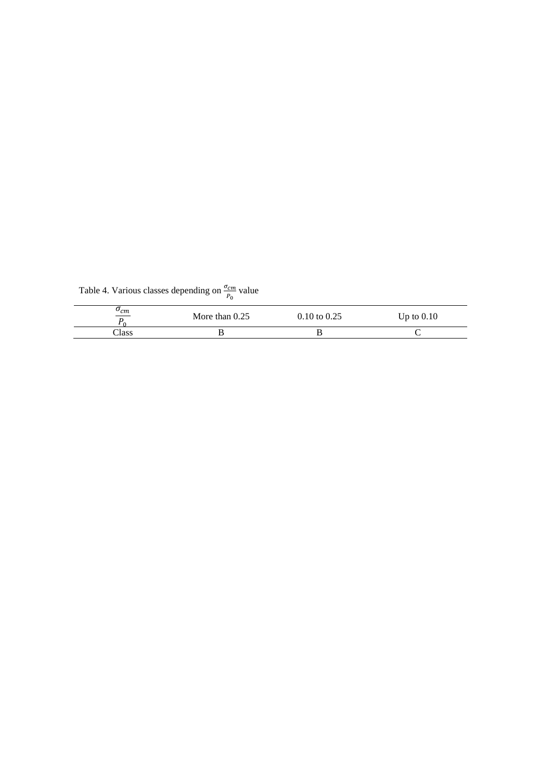Table 4. Various classes depending on  $\frac{\sigma_{cm}}{P_0}$  value

| $\sigma_{cm}$<br>$\overline{\phantom{a}}$ | More than $0.25$ | $0.10 \text{ to } 0.25$ | Up to $0.10$ |
|-------------------------------------------|------------------|-------------------------|--------------|
| Class                                     |                  | D                       |              |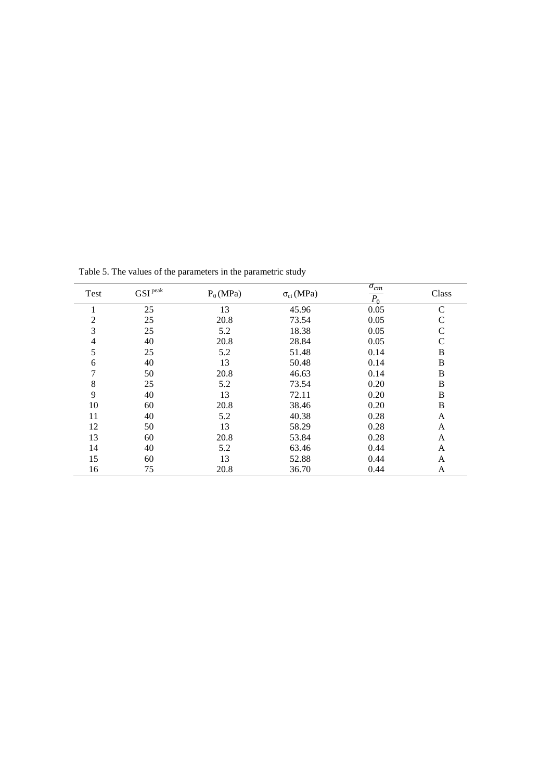| Test           | $\mathrm{GSI}^{\,\mathrm{peak}}$ | $P_0(MPa)$ | $\sigma_{ci}$ (MPa) | $\sigma_{cm}$<br>$P_0$ | Class        |
|----------------|----------------------------------|------------|---------------------|------------------------|--------------|
|                | 25                               | 13         | 45.96               | 0.05                   | C            |
| $\overline{2}$ | 25                               | 20.8       | 73.54               | 0.05                   | C            |
| 3              | 25                               | 5.2        | 18.38               | 0.05                   | C            |
| 4              | 40                               | 20.8       | 28.84               | 0.05                   | C            |
| 5              | 25                               | 5.2        | 51.48               | 0.14                   | B            |
| 6              | 40                               | 13         | 50.48               | 0.14                   | B            |
| 7              | 50                               | 20.8       | 46.63               | 0.14                   | B            |
| 8              | 25                               | 5.2        | 73.54               | 0.20                   | B            |
| 9              | 40                               | 13         | 72.11               | 0.20                   | $\, {\bf B}$ |
| 10             | 60                               | 20.8       | 38.46               | 0.20                   | B            |
| 11             | 40                               | 5.2        | 40.38               | 0.28                   | A            |
| 12             | 50                               | 13         | 58.29               | 0.28                   | A            |
| 13             | 60                               | 20.8       | 53.84               | 0.28                   | A            |
| 14             | 40                               | 5.2        | 63.46               | 0.44                   | A            |
| 15             | 60                               | 13         | 52.88               | 0.44                   | A            |
| 16             | 75                               | 20.8       | 36.70               | 0.44                   | A            |

Table 5. The values of the parameters in the parametric study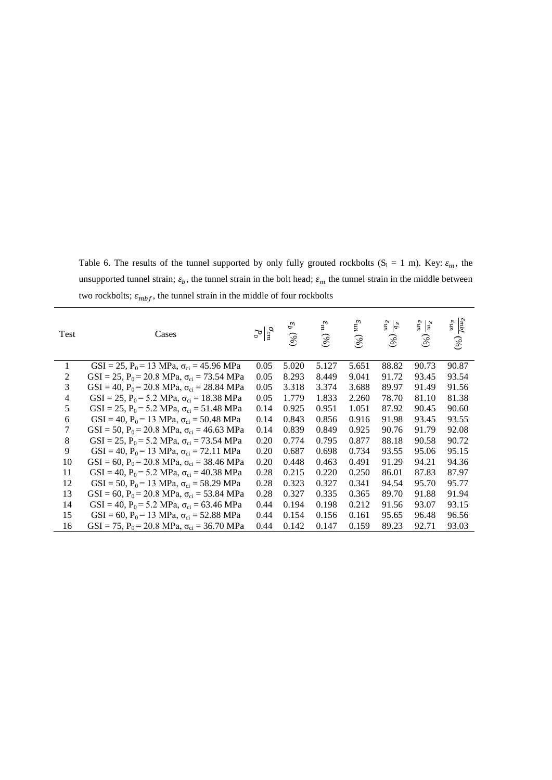Table 6. The results of the tunnel supported by only fully grouted rockbolts  $(S_1 = 1 \text{ m})$ . Key:  $\varepsilon_m$ , the unsupported tunnel strain;  $\varepsilon_b$ , the tunnel strain in the bolt head;  $\varepsilon_m$  the tunnel strain in the middle between two rockbolts;  $\varepsilon_{mbf},$  the tunnel strain in the middle of four rockbolts

| Test           | Cases                                                          | $\sigma_{cm}^{\sigma m}$ | $\varepsilon_{b}$ (%) | $\varepsilon_m$ $(\%)$ | $u_n$<br>$(\%)$ | $\mu n_3$<br>$e_b$<br>(%) | $\frac{\varepsilon_m}{m}$<br>(%) | $\varepsilon_{mbf}$<br>$u n_3$<br>(96) |
|----------------|----------------------------------------------------------------|--------------------------|-----------------------|------------------------|-----------------|---------------------------|----------------------------------|----------------------------------------|
| 1              | GSI = 25, P <sub>0</sub> = 13 MPa, $\sigma_{ci}$ = 45.96 MPa   | 0.05                     | 5.020                 | 5.127                  | 5.651           | 88.82                     | 90.73                            | 90.87                                  |
| $\overline{2}$ | GSI = 25, P <sub>0</sub> = 20.8 MPa, $\sigma_{ci}$ = 73.54 MPa | 0.05                     | 8.293                 | 8.449                  | 9.041           | 91.72                     | 93.45                            | 93.54                                  |
| 3              | GSI = 40, P <sub>0</sub> = 20.8 MPa, $\sigma_{ci}$ = 28.84 MPa | 0.05                     | 3.318                 | 3.374                  | 3.688           | 89.97                     | 91.49                            | 91.56                                  |
| 4              | GSI = 25, P <sub>0</sub> = 5.2 MPa, $\sigma_{ci}$ = 18.38 MPa  | 0.05                     | 1.779                 | 1.833                  | 2.260           | 78.70                     | 81.10                            | 81.38                                  |
| 5              | GSI = 25, P <sub>0</sub> = 5.2 MPa, $\sigma_{ci}$ = 51.48 MPa  | 0.14                     | 0.925                 | 0.951                  | 1.051           | 87.92                     | 90.45                            | 90.60                                  |
| 6              | GSI = 40, P <sub>0</sub> = 13 MPa, $\sigma_{ci}$ = 50.48 MPa   | 0.14                     | 0.843                 | 0.856                  | 0.916           | 91.98                     | 93.45                            | 93.55                                  |
| 7              | GSI = 50, P <sub>0</sub> = 20.8 MPa, $\sigma_{ci}$ = 46.63 MPa | 0.14                     | 0.839                 | 0.849                  | 0.925           | 90.76                     | 91.79                            | 92.08                                  |
| 8              | GSI = 25, P <sub>0</sub> = 5.2 MPa, $\sigma_{ci}$ = 73.54 MPa  | 0.20                     | 0.774                 | 0.795                  | 0.877           | 88.18                     | 90.58                            | 90.72                                  |
| 9              | GSI = 40, P <sub>0</sub> = 13 MPa, $\sigma_{ci}$ = 72.11 MPa   | 0.20                     | 0.687                 | 0.698                  | 0.734           | 93.55                     | 95.06                            | 95.15                                  |
| 10             | GSI = 60, P <sub>0</sub> = 20.8 MPa, $\sigma_{ci}$ = 38.46 MPa | 0.20                     | 0.448                 | 0.463                  | 0.491           | 91.29                     | 94.21                            | 94.36                                  |
| 11             | GSI = 40, P <sub>0</sub> = 5.2 MPa, $\sigma_{ci}$ = 40.38 MPa  | 0.28                     | 0.215                 | 0.220                  | 0.250           | 86.01                     | 87.83                            | 87.97                                  |
| 12             | GSI = 50, P <sub>0</sub> = 13 MPa, $\sigma_{ci}$ = 58.29 MPa   | 0.28                     | 0.323                 | 0.327                  | 0.341           | 94.54                     | 95.70                            | 95.77                                  |
| 13             | GSI = 60, P <sub>0</sub> = 20.8 MPa, $\sigma_{ci}$ = 53.84 MPa | 0.28                     | 0.327                 | 0.335                  | 0.365           | 89.70                     | 91.88                            | 91.94                                  |
| 14             | GSI = 40, P <sub>0</sub> = 5.2 MPa, $\sigma_{ci}$ = 63.46 MPa  | 0.44                     | 0.194                 | 0.198                  | 0.212           | 91.56                     | 93.07                            | 93.15                                  |
| 15             | GSI = 60, P <sub>0</sub> = 13 MPa, $\sigma_{ci}$ = 52.88 MPa   | 0.44                     | 0.154                 | 0.156                  | 0.161           | 95.65                     | 96.48                            | 96.56                                  |
| 16             | GSI = 75, P <sub>0</sub> = 20.8 MPa, $\sigma_{ci}$ = 36.70 MPa | 0.44                     | 0.142                 | 0.147                  | 0.159           | 89.23                     | 92.71                            | 93.03                                  |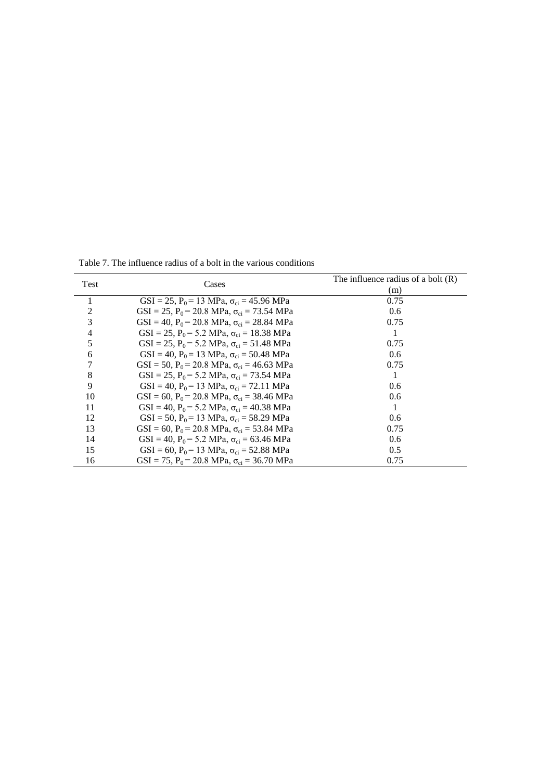Test Cases The influence radius of a bolt (R)  $\frac{(m)}{0.75}$ 1 GSI = 25, P<sub>0</sub> = 13 MPa,  $\sigma_{ci}$  = 45.96 MPa 0.75<br>2 GSI = 25, P<sub>0</sub> = 20.8 MPa,  $\sigma_{ci}$  = 73.54 MPa 0.6 2 GSI = 25, P<sub>0</sub> = 20.8 MPa,  $\sigma_{ci}$  = 73.54 MPa 0.6<br>3 GSI = 40, P<sub>0</sub> = 20.8 MPa,  $\sigma_{ci}$  = 28.84 MPa 0.75 3 GSI = 40, P<sub>0</sub> = 20.8 MPa,  $\sigma_{ci}$  = 28.84 MPa 0.75<br>4 GSI = 25, P<sub>0</sub> = 5.2 MPa,  $\sigma_{ci}$  = 18.38 MPa 1 4 GSI = 25, P<sub>0</sub> = 5.2 MPa,  $\sigma_{ci}$  = 18.38 MPa 1<br>5 GSI = 25, P<sub>0</sub> = 5.2 MPa,  $\sigma_{ci}$  = 51.48 MPa 0.75 5 GSI = 25,  $P_0$  = 5.2 MPa,  $\sigma_{ci}$  = 51.48 MPa 0.75<br>6 GSI = 40,  $P_0$  = 13 MPa,  $\sigma_{ci}$  = 50.48 MPa 0.6 6 GSI = 40, P<sub>0</sub> = 13 MPa,  $\sigma_{ci}$  = 50.48 MPa 0.6<br>
7 GSI = 50, P<sub>0</sub> = 20.8 MPa,  $\sigma_{ci}$  = 46.63 MPa 0.75 7 GSI = 50, P<sub>0</sub> = 20.8 MPa,  $\sigma_{ci}$  = 46.63 MPa<br>8 GSI = 25, P<sub>0</sub> = 5.2 MPa,  $\sigma_{ci}$  = 73.54 MPa 8 GSI = 25, P<sub>0</sub> = 5.2 MPa,  $\sigma_{ci}$  = 73.54 MPa 1<br>9 GSI = 40, P<sub>0</sub> = 13 MPa,  $\sigma_{ci}$  = 72.11 MPa 0.6 9 GSI = 40, P<sub>0</sub> = 13 MPa,  $\sigma_{ci}$  = 72.11 MPa<br>10 GSI = 60, P<sub>0</sub> = 20.8 MPa,  $\sigma_{ci}$  = 38.46 MPa  $GSI = 60, P_0 = 20.8 \text{ MPa}, \sigma_{ci} = 38.46 \text{ MPa}$  0.6 11 GSI = 40, P<sub>0</sub> = 5.2 MPa,  $\sigma_{ci}$  = 40.38 MPa 1 12 GSI = 50,  $P_0$  = 13 MPa,  $\sigma_{ci}$  = 58.29 MPa 0.6 13 GSI = 60, P<sub>0</sub> = 20.8 MPa,  $\sigma_{ci}$  = 53.84 MPa 0.75<br>14 GSI = 40, P<sub>0</sub> = 5.2 MPa,  $\sigma_{ci}$  = 63.46 MPa 0.6 14 GSI = 40, P<sub>0</sub> = 5.2 MPa,  $\sigma_{ci}$  = 63.46 MPa 0.6<br>15 GSI = 60, P<sub>0</sub> = 13 MPa,  $\sigma_{ci}$  = 52.88 MPa 0.5

15 GSI = 60, P<sub>0</sub> = 13 MPa,  $\sigma_{ci}$  = 52.88 MPa 0.5<br>16 GSI = 75, P<sub>0</sub> = 20.8 MPa,  $\sigma_{ci}$  = 36.70 MPa 0.75

 $GSI = 75$ ,  $P_0 = 20.8 \text{ MPa}$ ,  $\sigma_{ci} = 36.70 \text{ MPa}$ 

Table 7. The influence radius of a bolt in the various conditions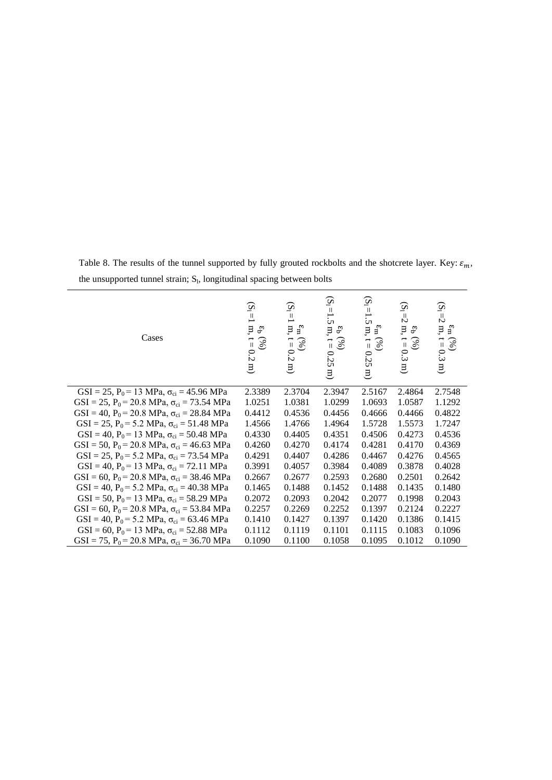| Cases                                                                   | $\widetilde{\mathcal{Q}}$<br>$\mathbf{  }$<br>$\mathbf m$<br>್ರಿ<br>$\vec{a}$<br>$\mathscr{E}$<br>0.2<br>$\overline{a}$ | $\widetilde{\mathcal{Q}}$<br>$\vert\vert$<br>$\vdash$<br>$\mathbf{m},$<br>$\epsilon_{\rm m}$<br>$\vec{a}$<br>(%)<br>$0.2 \text{ m}$ | $(S_1 = 1)$<br>ن،<br>$\mathbf{m},$<br>$\mathbf{c}_\mathbf{D}$<br>$\vec{a}$<br>$(\%)$<br>0.25<br>$\Xi$ | $(S_1=1)$<br>.<br>ن<br>$\mathbf m,$<br>$\epsilon_{\rm m}$<br>$\vec{\mathbb{I}}$<br>(9)<br>0.25<br>$\Xi$ | $\widetilde{\mathcal{S}}$<br>$\mathbb{Z}$<br>п,<br>ę,<br>$\overline{\mathbb{I}}$<br>(9)<br>0.3<br>旦 | $\widetilde{\mathcal{Q}}$<br>$\equiv$<br>$\mathbf{m},$<br>$\epsilon_{\rm m}$<br>$\begin{pmatrix} 0 \\ 0 \\ 0 \end{pmatrix}$<br>0.3<br>$\Xi$ |
|-------------------------------------------------------------------------|-------------------------------------------------------------------------------------------------------------------------|-------------------------------------------------------------------------------------------------------------------------------------|-------------------------------------------------------------------------------------------------------|---------------------------------------------------------------------------------------------------------|-----------------------------------------------------------------------------------------------------|---------------------------------------------------------------------------------------------------------------------------------------------|
| GSI = 25, P <sub>0</sub> = 13 MPa, $\sigma_{ci}$ = 45.96 MPa            | 2.3389                                                                                                                  | 2.3704                                                                                                                              | 2.3947                                                                                                | 2.5167                                                                                                  | 2.4864                                                                                              | 2.7548                                                                                                                                      |
| GSI = 25, P <sub>0</sub> = 20.8 MPa, $\sigma_{ci}$ = 73.54 MPa          | 1.0251                                                                                                                  | 1.0381                                                                                                                              | 1.0299                                                                                                | 1.0693                                                                                                  | 1.0587                                                                                              | 1.1292                                                                                                                                      |
| GSI = 40, P <sub>0</sub> = 20.8 MPa, $\sigma_{ci}$ = 28.84 MPa          | 0.4412                                                                                                                  | 0.4536                                                                                                                              | 0.4456                                                                                                | 0.4666                                                                                                  | 0.4466                                                                                              | 0.4822                                                                                                                                      |
| GSI = 25, P <sub>0</sub> = 5.2 MPa, $\sigma_{ci}$ = 51.48 MPa           | 1.4566                                                                                                                  | 1.4766                                                                                                                              | 1.4964                                                                                                | 1.5728                                                                                                  | 1.5573                                                                                              | 1.7247                                                                                                                                      |
| GSI = 40, P <sub>0</sub> = 13 MPa, $\sigma_{ci}$ = 50.48 MPa            | 0.4330                                                                                                                  | 0.4405                                                                                                                              | 0.4351                                                                                                | 0.4506                                                                                                  | 0.4273                                                                                              | 0.4536                                                                                                                                      |
| GSI = 50, P <sub>0</sub> = 20.8 MPa, $\sigma_{ci}$ = 46.63 MPa          | 0.4260                                                                                                                  | 0.4270                                                                                                                              | 0.4174                                                                                                | 0.4281                                                                                                  | 0.4170                                                                                              | 0.4369                                                                                                                                      |
| GSI = 25, P <sub>0</sub> = 5.2 MPa, $\sigma_{ci}$ = 73.54 MPa           | 0.4291                                                                                                                  | 0.4407                                                                                                                              | 0.4286                                                                                                | 0.4467                                                                                                  | 0.4276                                                                                              | 0.4565                                                                                                                                      |
| $GSI = 40$ , $P_0 = 13 \text{ MPa}$ , $\sigma_{ci} = 72.11 \text{ MPa}$ | 0.3991                                                                                                                  | 0.4057                                                                                                                              | 0.3984                                                                                                | 0.4089                                                                                                  | 0.3878                                                                                              | 0.4028                                                                                                                                      |
| GSI = 60, P <sub>0</sub> = 20.8 MPa, $\sigma_{ci}$ = 38.46 MPa          | 0.2667                                                                                                                  | 0.2677                                                                                                                              | 0.2593                                                                                                | 0.2680                                                                                                  | 0.2501                                                                                              | 0.2642                                                                                                                                      |
| GSI = 40, P <sub>0</sub> = 5.2 MPa, $\sigma_{ci}$ = 40.38 MPa           | 0.1465                                                                                                                  | 0.1488                                                                                                                              | 0.1452                                                                                                | 0.1488                                                                                                  | 0.1435                                                                                              | 0.1480                                                                                                                                      |
| GSI = 50, P <sub>0</sub> = 13 MPa, $\sigma_{ci}$ = 58.29 MPa            | 0.2072                                                                                                                  | 0.2093                                                                                                                              | 0.2042                                                                                                | 0.2077                                                                                                  | 0.1998                                                                                              | 0.2043                                                                                                                                      |
| GSI = 60, P <sub>0</sub> = 20.8 MPa, $\sigma_{ci}$ = 53.84 MPa          | 0.2257                                                                                                                  | 0.2269                                                                                                                              | 0.2252                                                                                                | 0.1397                                                                                                  | 0.2124                                                                                              | 0.2227                                                                                                                                      |
| GSI = 40, P <sub>0</sub> = 5.2 MPa, $\sigma_{ci}$ = 63.46 MPa           | 0.1410                                                                                                                  | 0.1427                                                                                                                              | 0.1397                                                                                                | 0.1420                                                                                                  | 0.1386                                                                                              | 0.1415                                                                                                                                      |
| GSI = 60, P <sub>0</sub> = 13 MPa, $\sigma_{ci}$ = 52.88 MPa            | 0.1112                                                                                                                  | 0.1119                                                                                                                              | 0.1101                                                                                                | 0.1115                                                                                                  | 0.1083                                                                                              | 0.1096                                                                                                                                      |
| GSI = 75, P <sub>0</sub> = 20.8 MPa, $\sigma_{ci}$ = 36.70 MPa          | 0.1090                                                                                                                  | 0.1100                                                                                                                              | 0.1058                                                                                                | 0.1095                                                                                                  | 0.1012                                                                                              | 0.1090                                                                                                                                      |

Table 8. The results of the tunnel supported by fully grouted rockbolts and the shotcrete layer. Key:  $\varepsilon_m$ , the unsupported tunnel strain; S<sub>l</sub>, longitudinal spacing between bolts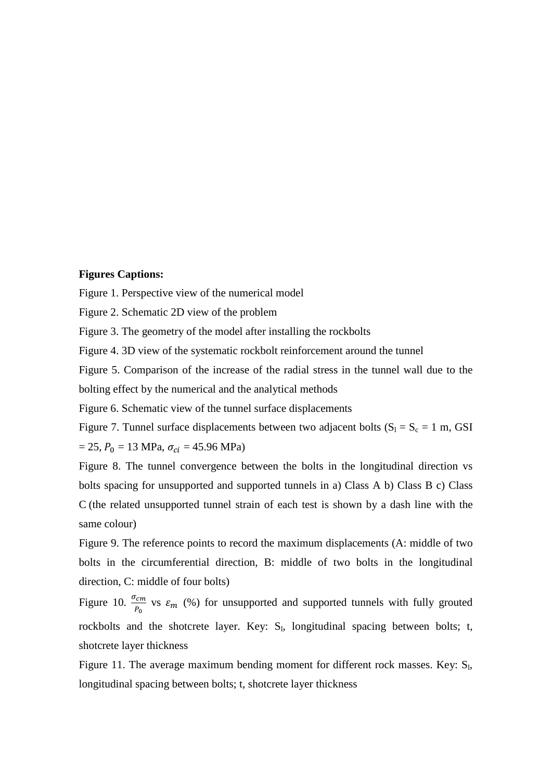### **Figures Captions:**

Figure 1. Perspective view of the numerical model

Figure 2. Schematic 2D view of the problem

Figure 3. The geometry of the model after installing the rockbolts

Figure 4. 3D view of the systematic rockbolt reinforcement around the tunnel

Figure 5. Comparison of the increase of the radial stress in the tunnel wall due to the bolting effect by the numerical and the analytical methods

Figure 6. Schematic view of the tunnel surface displacements

Figure 7. Tunnel surface displacements between two adjacent bolts  $(S_1 = S_c = 1 \text{ m}, \text{GSI})$  $= 25$ ,  $P_0 = 13 \text{ MPa}$ ,  $\sigma_{ci} = 45.96 \text{ MPa}$ )

Figure 8. The tunnel convergence between the bolts in the longitudinal direction vs bolts spacing for unsupported and supported tunnels in a) Class A b) Class B c) Class C (the related unsupported tunnel strain of each test is shown by a dash line with the same colour)

Figure 9. The reference points to record the maximum displacements (A: middle of two bolts in the circumferential direction, B: middle of two bolts in the longitudinal direction, C: middle of four bolts)

Figure 10.  $\frac{\sigma_{cm}}{P_0}$  vs  $\varepsilon_m$  (%) for unsupported and supported tunnels with fully grouted rockbolts and the shotcrete layer. Key:  $S<sub>1</sub>$ , longitudinal spacing between bolts; t, shotcrete layer thickness

Figure 11. The average maximum bending moment for different rock masses. Key:  $S_l$ , longitudinal spacing between bolts; t, shotcrete layer thickness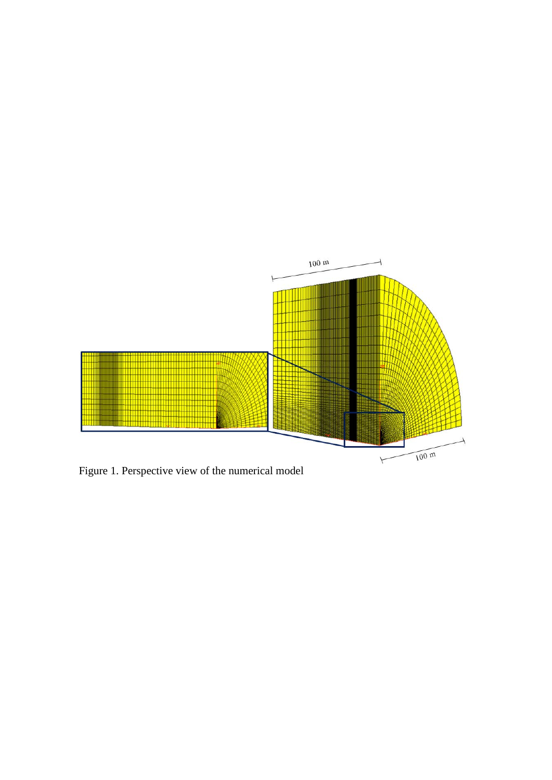

Figure 1. Perspective view of the numerical model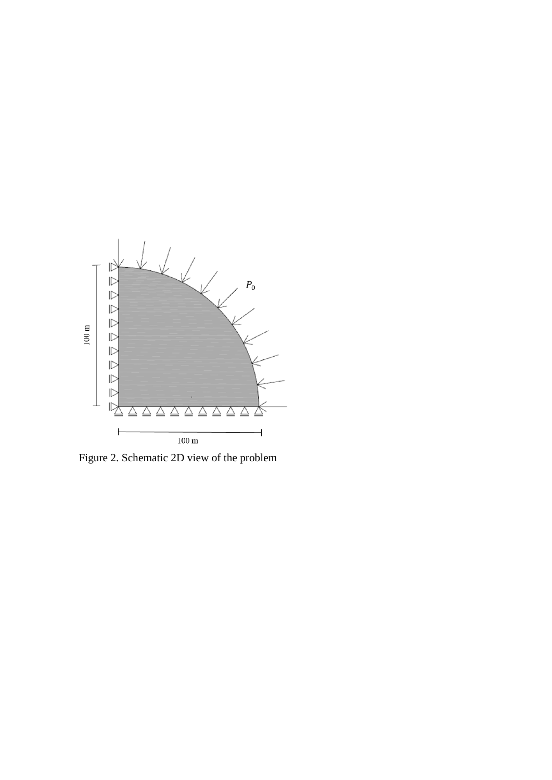

Figure 2. Schematic 2D view of the problem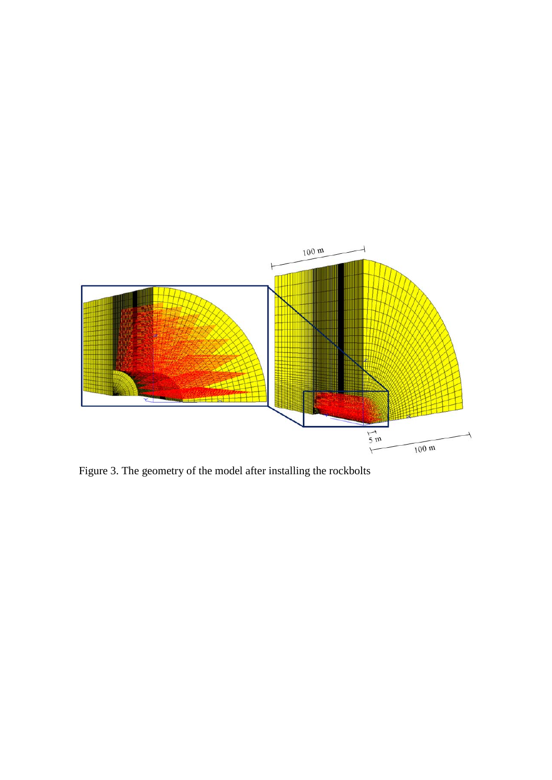

Figure 3. The geometry of the model after installing the rockbolts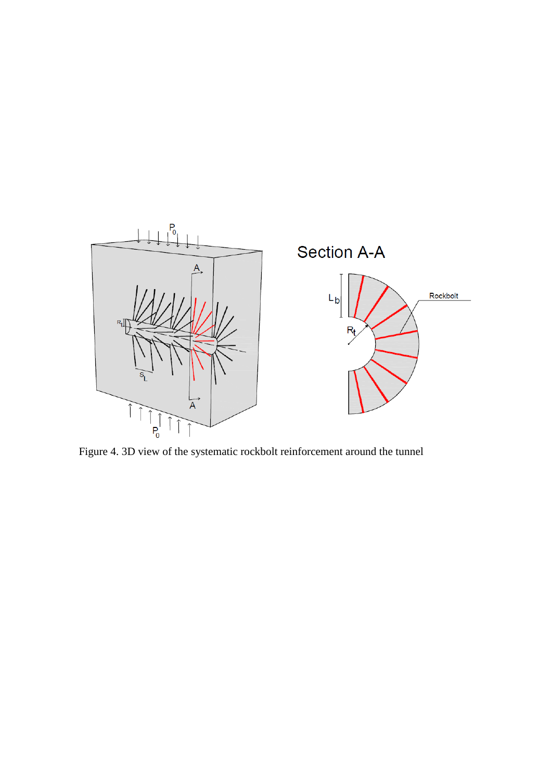

Figure 4. 3D view of the systematic rockbolt reinforcement around the tunnel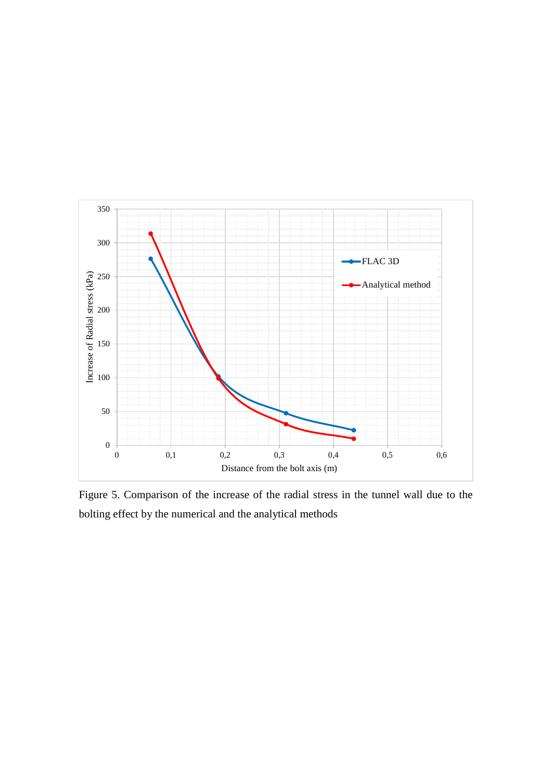

Figure 5. Comparison of the increase of the radial stress in the tunnel wall due to the bolting effect by the numerical and the analytical methods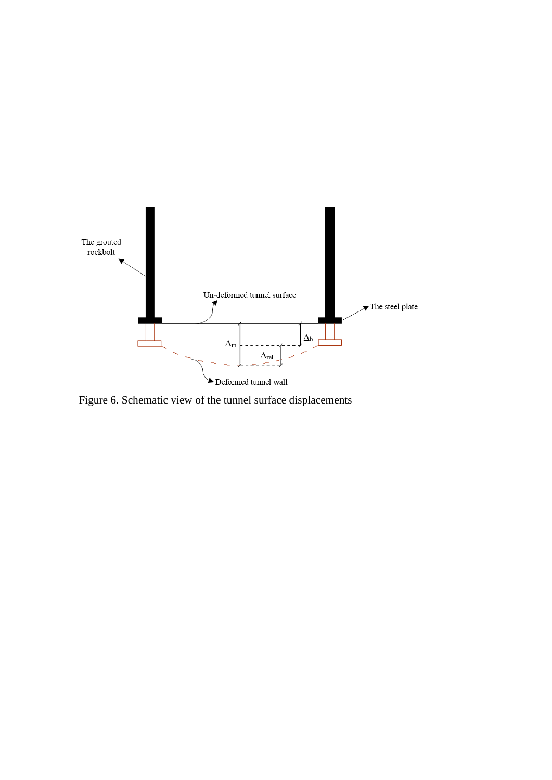

Figure 6. Schematic view of the tunnel surface displacements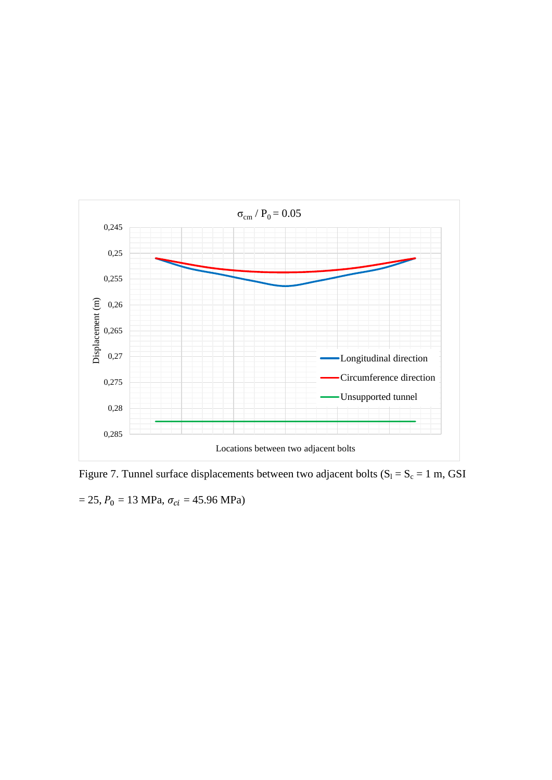

Figure 7. Tunnel surface displacements between two adjacent bolts  $(S_l = S_c = 1 \text{ m}, \text{GSI}$  $= 25, P_0 = 13 \text{ MPa}, \sigma_{ci} = 45.96 \text{ MPa}$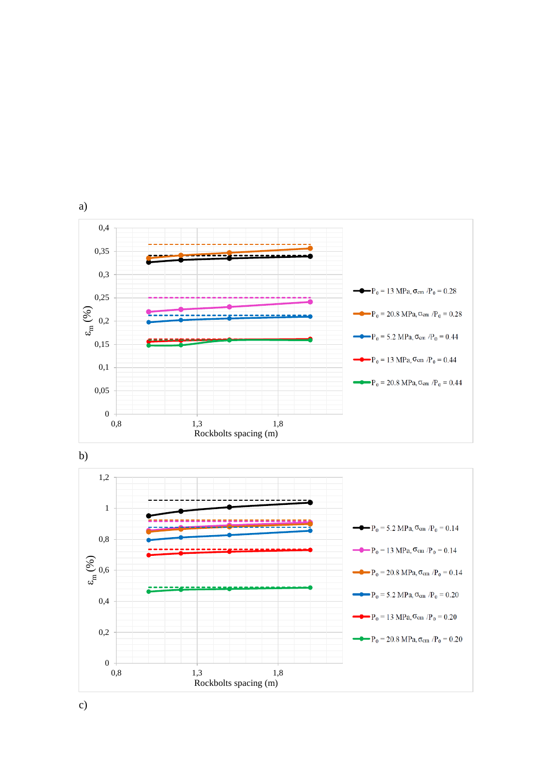





c)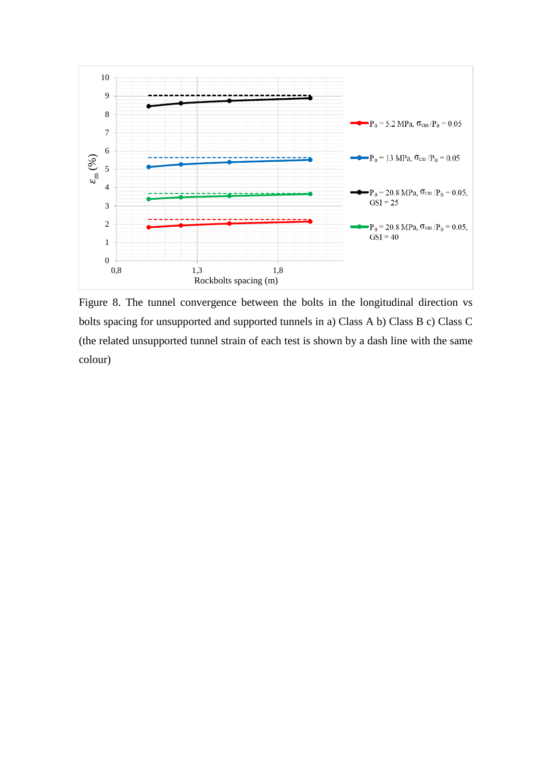

Figure 8. The tunnel convergence between the bolts in the longitudinal direction vs bolts spacing for unsupported and supported tunnels in a) Class A b) Class B c) Class C (the related unsupported tunnel strain of each test is shown by a dash line with the same colour)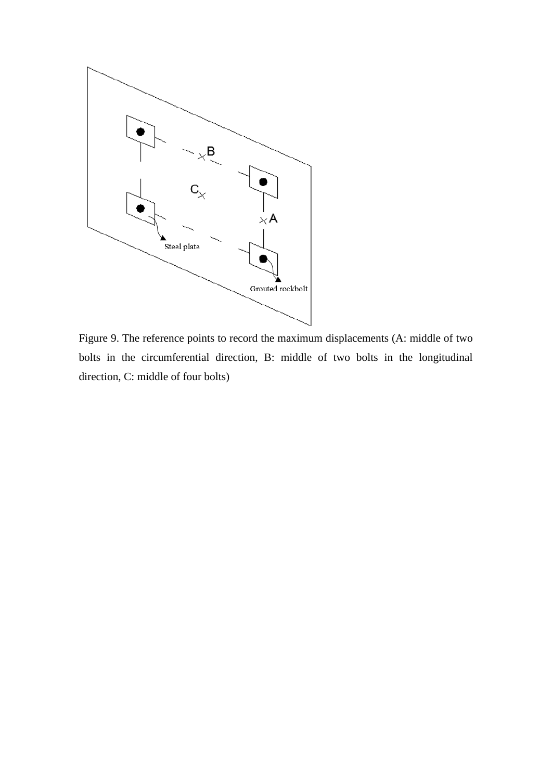

Figure 9. The reference points to record the maximum displacements (A: middle of two bolts in the circumferential direction, B: middle of two bolts in the longitudinal direction, C: middle of four bolts)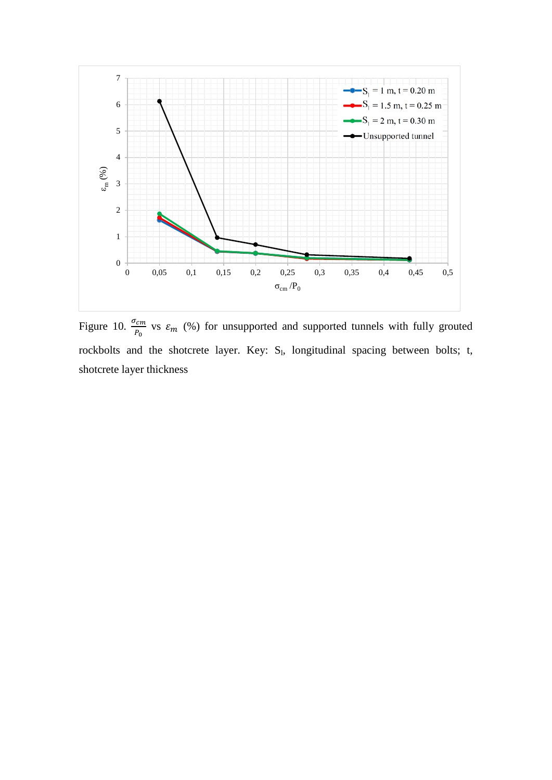

Figure 10.  $\frac{\sigma_{cm}}{P_0}$  vs  $\varepsilon_m$  (%) for unsupported and supported tunnels with fully grouted rockbolts and the shotcrete layer. Key: S<sub>1</sub>, longitudinal spacing between bolts; t, shotcrete layer thickness